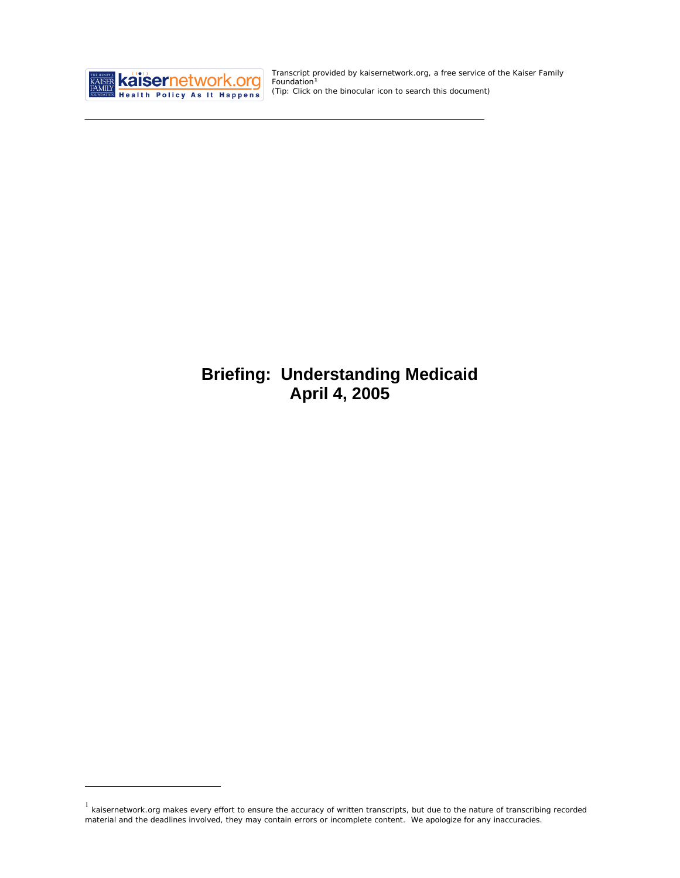

<u>.</u>

Transcript provided by kaisernetwork.org, a free service of the Kaiser Family Foundation**[1](#page-0-0)** *(Tip: Click on the binocular icon to search this document)* 

# **Briefing: Understanding Medicaid April 4, 2005**

<span id="page-0-0"></span> $1$  kaisernetwork.org makes every effort to ensure the accuracy of written transcripts, but due to the nature of transcribing recorded material and the deadlines involved, they may contain errors or incomplete content. We apologize for any inaccuracies.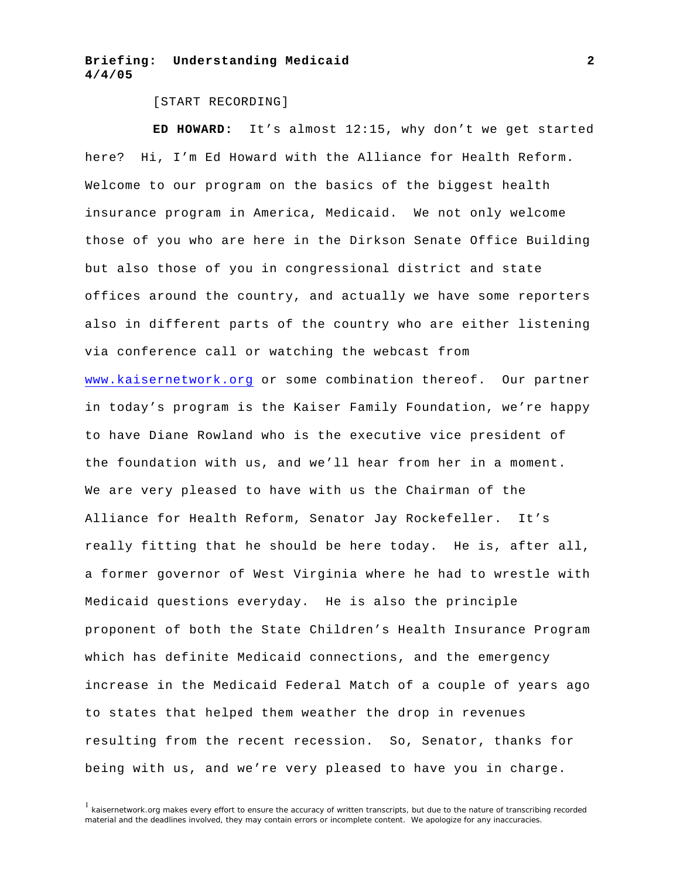#### [START RECORDING]

**ED HOWARD:** It's almost 12:15, why don't we get started here? Hi, I'm Ed Howard with the Alliance for Health Reform. Welcome to our program on the basics of the biggest health insurance program in America, Medicaid. We not only welcome those of you who are here in the Dirkson Senate Office Building but also those of you in congressional district and state offices around the country, and actually we have some reporters also in different parts of the country who are either listening via conference call or watching the webcast from <www.kaisernetwork.org>or some combination thereof. Our partner in today's program is the Kaiser Family Foundation, we're happy to have Diane Rowland who is the executive vice president of the foundation with us, and we'll hear from her in a moment. We are very pleased to have with us the Chairman of the Alliance for Health Reform, Senator Jay Rockefeller. It's really fitting that he should be here today. He is, after all, a former governor of West Virginia where he had to wrestle with Medicaid questions everyday. He is also the principle proponent of both the State Children's Health Insurance Program which has definite Medicaid connections, and the emergency increase in the Medicaid Federal Match of a couple of years ago to states that helped them weather the drop in revenues resulting from the recent recession. So, Senator, thanks for being with us, and we're very pleased to have you in charge.

 $1$  kaisernetwork.org makes every effort to ensure the accuracy of written transcripts, but due to the nature of transcribing recorded material and the deadlines involved, they may contain errors or incomplete content. We apologize for any inaccuracies.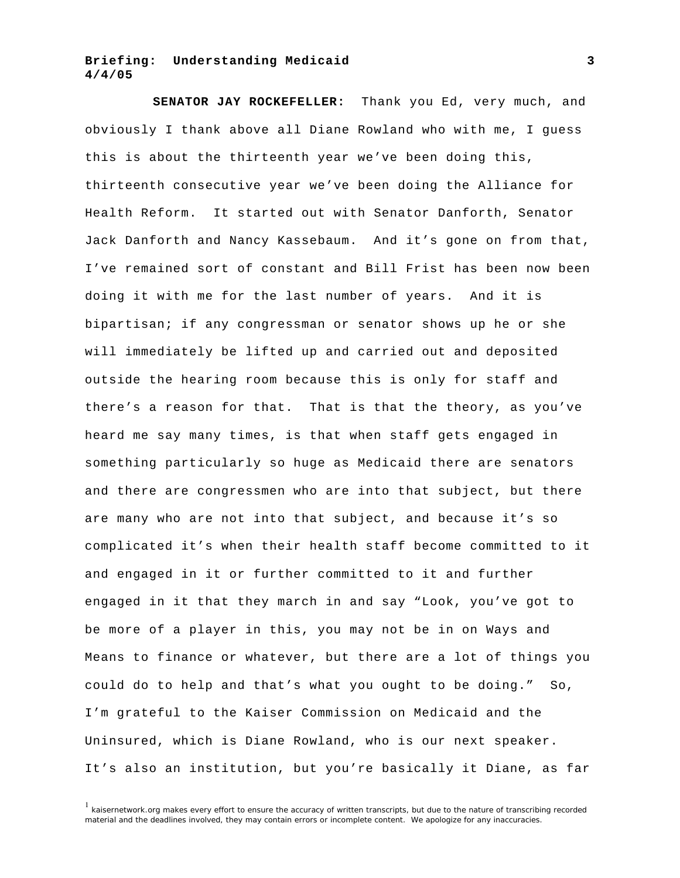**SENATOR JAY ROCKEFELLER:** Thank you Ed, very much, and obviously I thank above all Diane Rowland who with me, I guess this is about the thirteenth year we've been doing this, thirteenth consecutive year we've been doing the Alliance for Health Reform. It started out with Senator Danforth, Senator Jack Danforth and Nancy Kassebaum. And it's gone on from that, I've remained sort of constant and Bill Frist has been now been doing it with me for the last number of years. And it is bipartisan; if any congressman or senator shows up he or she will immediately be lifted up and carried out and deposited outside the hearing room because this is only for staff and there's a reason for that. That is that the theory, as you've heard me say many times, is that when staff gets engaged in something particularly so huge as Medicaid there are senators and there are congressmen who are into that subject, but there are many who are not into that subject, and because it's so complicated it's when their health staff become committed to it and engaged in it or further committed to it and further engaged in it that they march in and say "Look, you've got to be more of a player in this, you may not be in on Ways and Means to finance or whatever, but there are a lot of things you could do to help and that's what you ought to be doing." So, I'm grateful to the Kaiser Commission on Medicaid and the Uninsured, which is Diane Rowland, who is our next speaker. It's also an institution, but you're basically it Diane, as far

 $1$  kaisernetwork.org makes every effort to ensure the accuracy of written transcripts, but due to the nature of transcribing recorded material and the deadlines involved, they may contain errors or incomplete content. We apologize for any inaccuracies.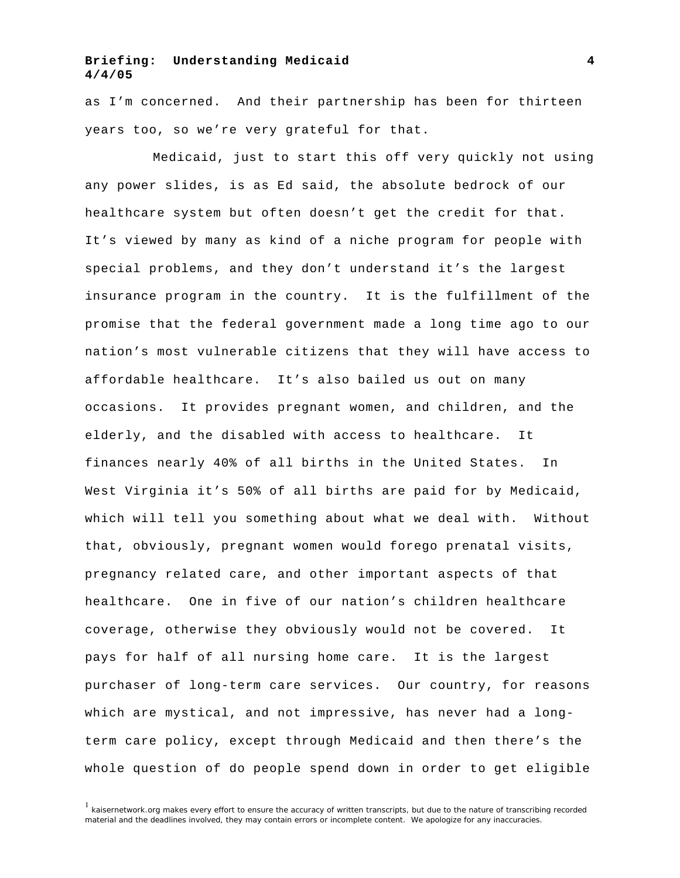as I'm concerned. And their partnership has been for thirteen years too, so we're very grateful for that.

Medicaid, just to start this off very quickly not using any power slides, is as Ed said, the absolute bedrock of our healthcare system but often doesn't get the credit for that. It's viewed by many as kind of a niche program for people with special problems, and they don't understand it's the largest insurance program in the country. It is the fulfillment of the promise that the federal government made a long time ago to our nation's most vulnerable citizens that they will have access to affordable healthcare. It's also bailed us out on many occasions. It provides pregnant women, and children, and the elderly, and the disabled with access to healthcare. It finances nearly 40% of all births in the United States. In West Virginia it's 50% of all births are paid for by Medicaid, which will tell you something about what we deal with. Without that, obviously, pregnant women would forego prenatal visits, pregnancy related care, and other important aspects of that healthcare. One in five of our nation's children healthcare coverage, otherwise they obviously would not be covered. It pays for half of all nursing home care. It is the largest purchaser of long-term care services. Our country, for reasons which are mystical, and not impressive, has never had a longterm care policy, except through Medicaid and then there's the whole question of do people spend down in order to get eligible

 $1$  kaisernetwork.org makes every effort to ensure the accuracy of written transcripts, but due to the nature of transcribing recorded material and the deadlines involved, they may contain errors or incomplete content. We apologize for any inaccuracies.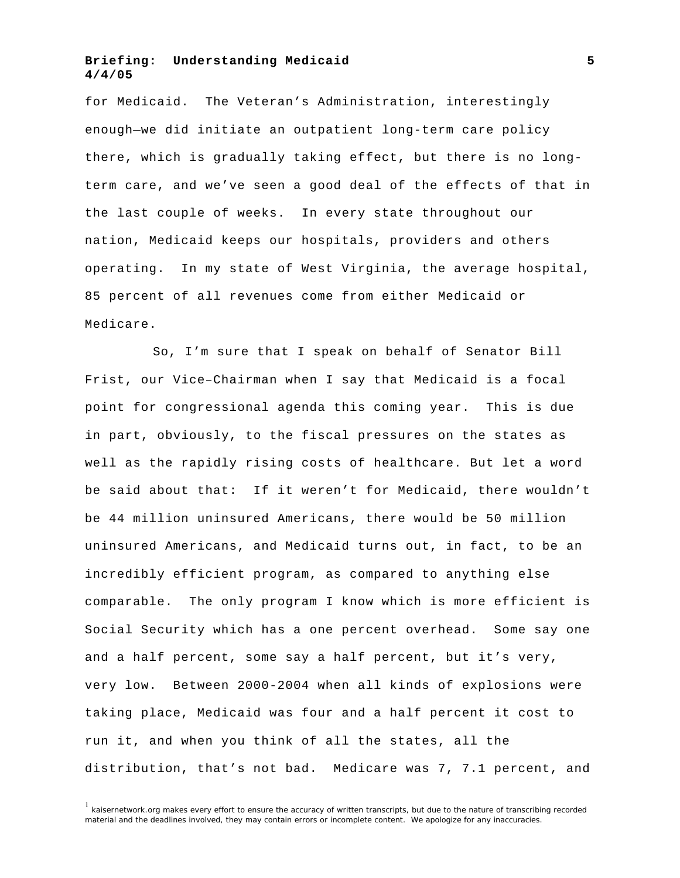for Medicaid. The Veteran's Administration, interestingly enough—we did initiate an outpatient long-term care policy there, which is gradually taking effect, but there is no longterm care, and we've seen a good deal of the effects of that in the last couple of weeks. In every state throughout our nation, Medicaid keeps our hospitals, providers and others operating. In my state of West Virginia, the average hospital, 85 percent of all revenues come from either Medicaid or Medicare.

So, I'm sure that I speak on behalf of Senator Bill Frist, our Vice–Chairman when I say that Medicaid is a focal point for congressional agenda this coming year. This is due in part, obviously, to the fiscal pressures on the states as well as the rapidly rising costs of healthcare. But let a word be said about that: If it weren't for Medicaid, there wouldn't be 44 million uninsured Americans, there would be 50 million uninsured Americans, and Medicaid turns out, in fact, to be an incredibly efficient program, as compared to anything else comparable. The only program I know which is more efficient is Social Security which has a one percent overhead. Some say one and a half percent, some say a half percent, but it's very, very low. Between 2000-2004 when all kinds of explosions were taking place, Medicaid was four and a half percent it cost to run it, and when you think of all the states, all the distribution, that's not bad. Medicare was 7, 7.1 percent, and

<sup>1</sup> kaisernetwork.org makes every effort to ensure the accuracy of written transcripts, but due to the nature of transcribing recorded material and the deadlines involved, they may contain errors or incomplete content. We apologize for any inaccuracies.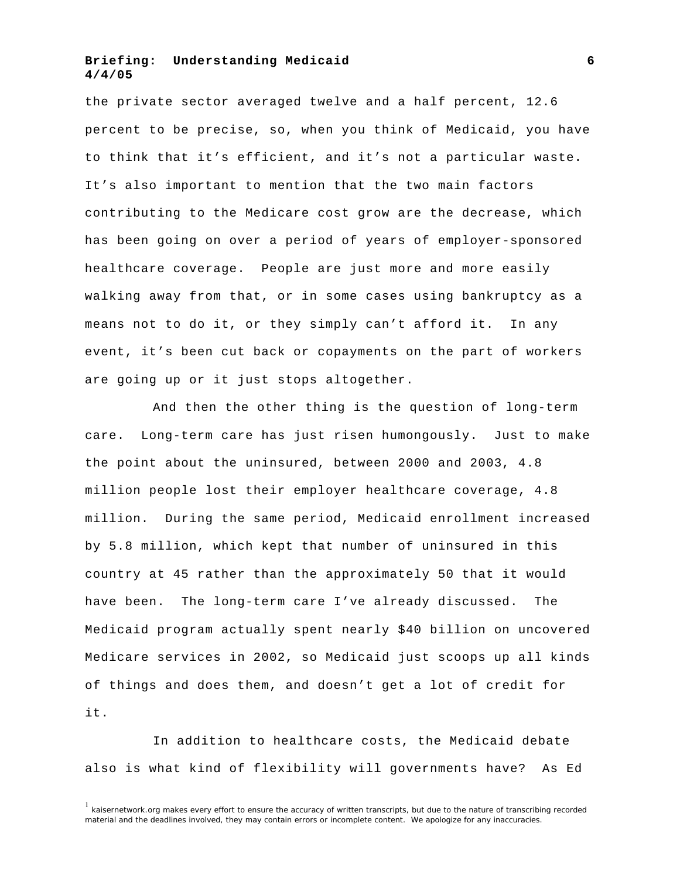the private sector averaged twelve and a half percent, 12.6 percent to be precise, so, when you think of Medicaid, you have to think that it's efficient, and it's not a particular waste. It's also important to mention that the two main factors contributing to the Medicare cost grow are the decrease, which has been going on over a period of years of employer-sponsored healthcare coverage. People are just more and more easily walking away from that, or in some cases using bankruptcy as a means not to do it, or they simply can't afford it. In any event, it's been cut back or copayments on the part of workers are going up or it just stops altogether.

And then the other thing is the question of long-term care. Long-term care has just risen humongously. Just to make the point about the uninsured, between 2000 and 2003, 4.8 million people lost their employer healthcare coverage, 4.8 million. During the same period, Medicaid enrollment increased by 5.8 million, which kept that number of uninsured in this country at 45 rather than the approximately 50 that it would have been. The long-term care I've already discussed. The Medicaid program actually spent nearly \$40 billion on uncovered Medicare services in 2002, so Medicaid just scoops up all kinds of things and does them, and doesn't get a lot of credit for it.

In addition to healthcare costs, the Medicaid debate also is what kind of flexibility will governments have? As Ed

 $1$  kaisernetwork.org makes every effort to ensure the accuracy of written transcripts, but due to the nature of transcribing recorded material and the deadlines involved, they may contain errors or incomplete content. We apologize for any inaccuracies.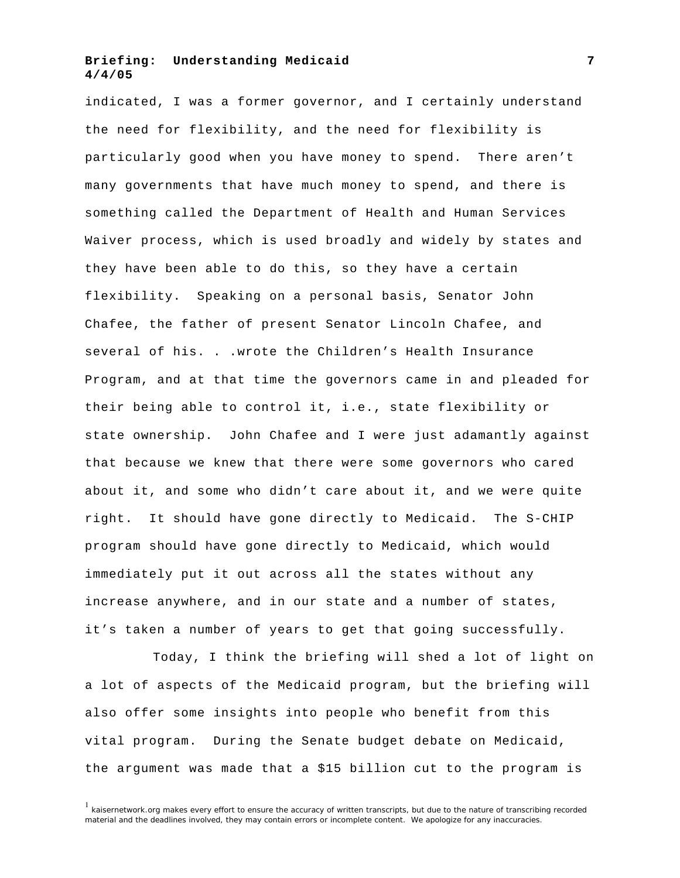indicated, I was a former governor, and I certainly understand the need for flexibility, and the need for flexibility is particularly good when you have money to spend. There aren't many governments that have much money to spend, and there is something called the Department of Health and Human Services Waiver process, which is used broadly and widely by states and they have been able to do this, so they have a certain flexibility. Speaking on a personal basis, Senator John Chafee, the father of present Senator Lincoln Chafee, and several of his. . . wrote the Children's Health Insurance Program, and at that time the governors came in and pleaded for their being able to control it, i.e., state flexibility or state ownership. John Chafee and I were just adamantly against that because we knew that there were some governors who cared about it, and some who didn't care about it, and we were quite right. It should have gone directly to Medicaid. The S-CHIP program should have gone directly to Medicaid, which would immediately put it out across all the states without any increase anywhere, and in our state and a number of states, it's taken a number of years to get that going successfully.

Today, I think the briefing will shed a lot of light on a lot of aspects of the Medicaid program, but the briefing will also offer some insights into people who benefit from this vital program. During the Senate budget debate on Medicaid, the argument was made that a \$15 billion cut to the program is

 $1$  kaisernetwork.org makes every effort to ensure the accuracy of written transcripts, but due to the nature of transcribing recorded material and the deadlines involved, they may contain errors or incomplete content. We apologize for any inaccuracies.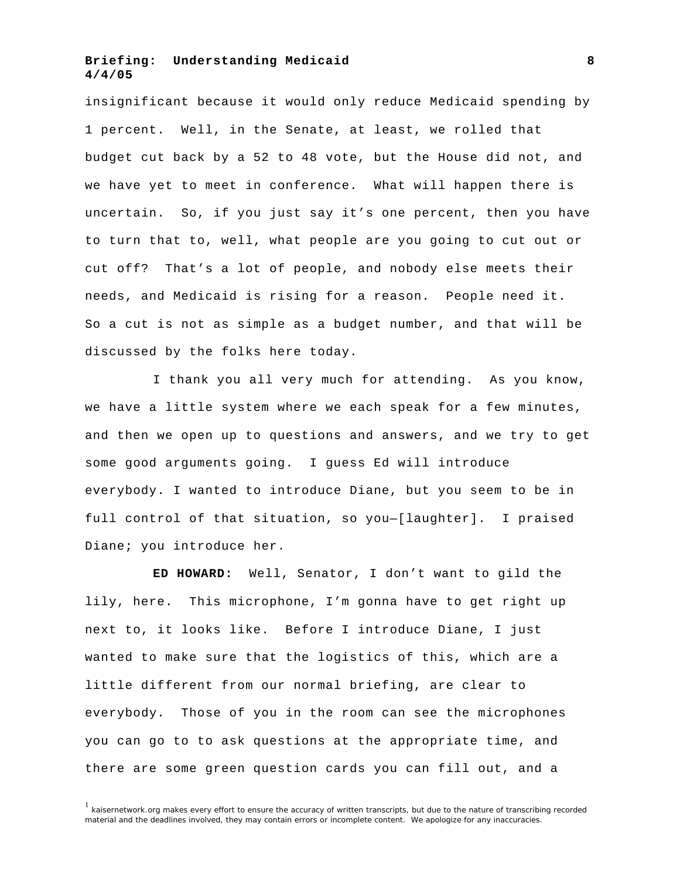insignificant because it would only reduce Medicaid spending by 1 percent. Well, in the Senate, at least, we rolled that budget cut back by a 52 to 48 vote, but the House did not, and we have yet to meet in conference. What will happen there is uncertain. So, if you just say it's one percent, then you have to turn that to, well, what people are you going to cut out or cut off? That's a lot of people, and nobody else meets their needs, and Medicaid is rising for a reason. People need it. So a cut is not as simple as a budget number, and that will be discussed by the folks here today.

I thank you all very much for attending. As you know, we have a little system where we each speak for a few minutes, and then we open up to questions and answers, and we try to get some good arguments going. I guess Ed will introduce everybody. I wanted to introduce Diane, but you seem to be in full control of that situation, so you—[laughter]. I praised Diane; you introduce her.

**ED HOWARD:** Well, Senator, I don't want to gild the lily, here. This microphone, I'm gonna have to get right up next to, it looks like. Before I introduce Diane, I just wanted to make sure that the logistics of this, which are a little different from our normal briefing, are clear to everybody. Those of you in the room can see the microphones you can go to to ask questions at the appropriate time, and there are some green question cards you can fill out, and a

 $1$  kaisernetwork.org makes every effort to ensure the accuracy of written transcripts, but due to the nature of transcribing recorded material and the deadlines involved, they may contain errors or incomplete content. We apologize for any inaccuracies.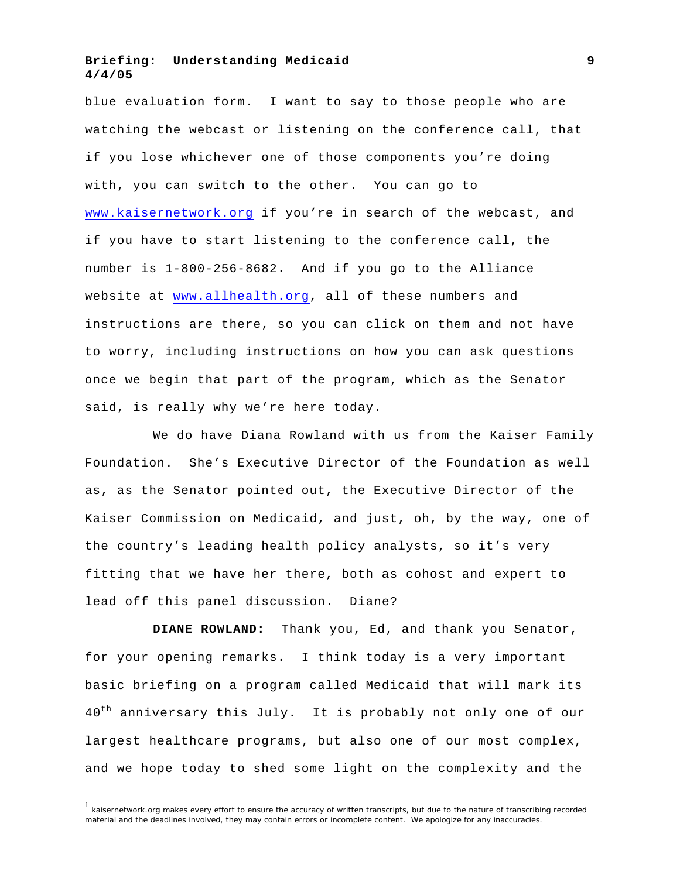blue evaluation form. I want to say to those people who are watching the webcast or listening on the conference call, that if you lose whichever one of those components you're doing with, you can switch to the other. You can go to <www.kaisernetwork.org>if you're in search of the webcast, and if you have to start listening to the conference call, the number is 1-800-256-8682. And if you go to the Alliance website at <www.allhealth.org>, all of these numbers and instructions are there, so you can click on them and not have to worry, including instructions on how you can ask questions once we begin that part of the program, which as the Senator said, is really why we're here today.

We do have Diana Rowland with us from the Kaiser Family Foundation. She's Executive Director of the Foundation as well as, as the Senator pointed out, the Executive Director of the Kaiser Commission on Medicaid, and just, oh, by the way, one of the country's leading health policy analysts, so it's very fitting that we have her there, both as cohost and expert to lead off this panel discussion. Diane?

**DIANE ROWLAND:** Thank you, Ed, and thank you Senator, for your opening remarks. I think today is a very important basic briefing on a program called Medicaid that will mark its 40<sup>th</sup> anniversary this July. It is probably not only one of our largest healthcare programs, but also one of our most complex, and we hope today to shed some light on the complexity and the

 $1$  kaisernetwork.org makes every effort to ensure the accuracy of written transcripts, but due to the nature of transcribing recorded material and the deadlines involved, they may contain errors or incomplete content. We apologize for any inaccuracies.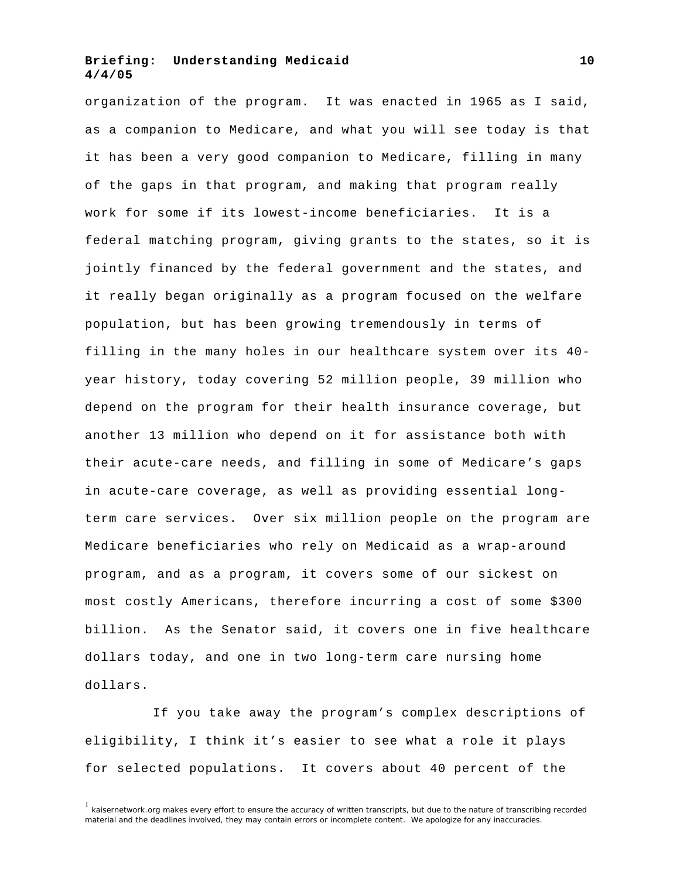organization of the program. It was enacted in 1965 as I said, as a companion to Medicare, and what you will see today is that it has been a very good companion to Medicare, filling in many of the gaps in that program, and making that program really work for some if its lowest-income beneficiaries. It is a federal matching program, giving grants to the states, so it is jointly financed by the federal government and the states, and it really began originally as a program focused on the welfare population, but has been growing tremendously in terms of filling in the many holes in our healthcare system over its 40 year history, today covering 52 million people, 39 million who depend on the program for their health insurance coverage, but another 13 million who depend on it for assistance both with their acute-care needs, and filling in some of Medicare's gaps in acute-care coverage, as well as providing essential longterm care services. Over six million people on the program are Medicare beneficiaries who rely on Medicaid as a wrap-around program, and as a program, it covers some of our sickest on most costly Americans, therefore incurring a cost of some \$300 billion. As the Senator said, it covers one in five healthcare dollars today, and one in two long-term care nursing home dollars.

If you take away the program's complex descriptions of eligibility, I think it's easier to see what a role it plays for selected populations. It covers about 40 percent of the

 $1$  kaisernetwork.org makes every effort to ensure the accuracy of written transcripts, but due to the nature of transcribing recorded material and the deadlines involved, they may contain errors or incomplete content. We apologize for any inaccuracies.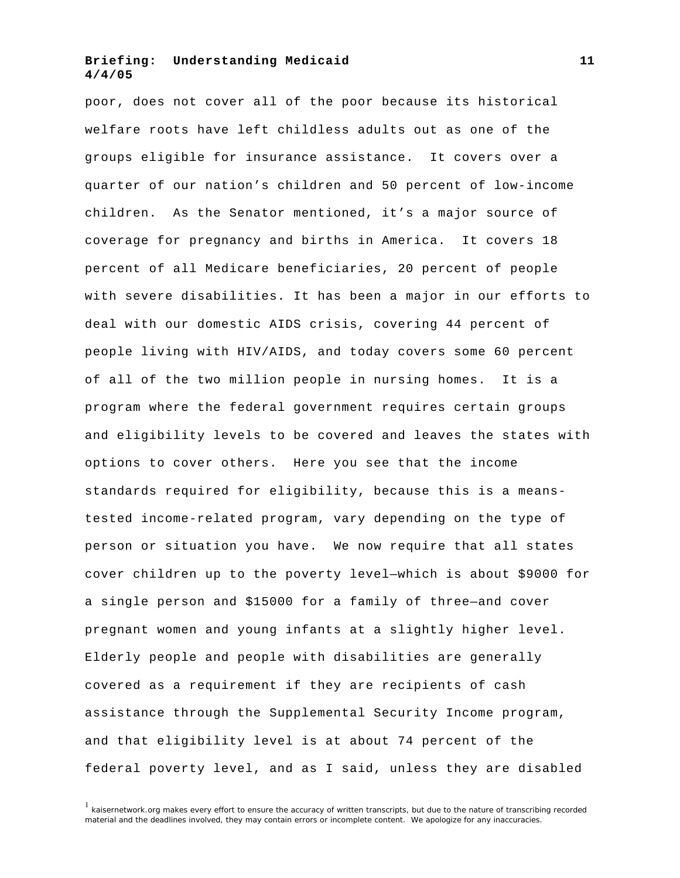poor, does not cover all of the poor because its historical welfare roots have left childless adults out as one of the groups eligible for insurance assistance. It covers over a quarter of our nation's children and 50 percent of low-income children. As the Senator mentioned, it's a major source of coverage for pregnancy and births in America. It covers 18 percent of all Medicare beneficiaries, 20 percent of people with severe disabilities. It has been a major in our efforts to deal with our domestic AIDS crisis, covering 44 percent of people living with HIV/AIDS, and today covers some 60 percent of all of the two million people in nursing homes. It is a program where the federal government requires certain groups and eligibility levels to be covered and leaves the states with options to cover others. Here you see that the income standards required for eligibility, because this is a meanstested income-related program, vary depending on the type of person or situation you have. We now require that all states cover children up to the poverty level—which is about \$9000 for a single person and \$15000 for a family of three—and cover pregnant women and young infants at a slightly higher level. Elderly people and people with disabilities are generally covered as a requirement if they are recipients of cash assistance through the Supplemental Security Income program, and that eligibility level is at about 74 percent of the federal poverty level, and as I said, unless they are disabled

 $1$  kaisernetwork.org makes every effort to ensure the accuracy of written transcripts, but due to the nature of transcribing recorded material and the deadlines involved, they may contain errors or incomplete content. We apologize for any inaccuracies.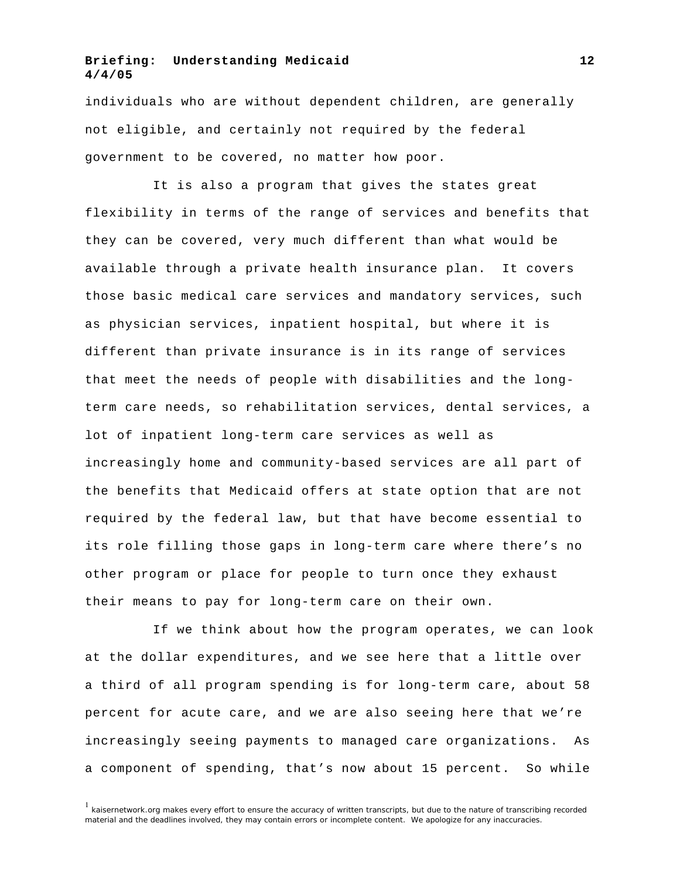individuals who are without dependent children, are generally not eligible, and certainly not required by the federal government to be covered, no matter how poor.

It is also a program that gives the states great flexibility in terms of the range of services and benefits that they can be covered, very much different than what would be available through a private health insurance plan. It covers those basic medical care services and mandatory services, such as physician services, inpatient hospital, but where it is different than private insurance is in its range of services that meet the needs of people with disabilities and the longterm care needs, so rehabilitation services, dental services, a lot of inpatient long-term care services as well as increasingly home and community-based services are all part of the benefits that Medicaid offers at state option that are not required by the federal law, but that have become essential to its role filling those gaps in long-term care where there's no other program or place for people to turn once they exhaust their means to pay for long-term care on their own.

If we think about how the program operates, we can look at the dollar expenditures, and we see here that a little over a third of all program spending is for long-term care, about 58 percent for acute care, and we are also seeing here that we're increasingly seeing payments to managed care organizations. As a component of spending, that's now about 15 percent. So while

 $1$  kaisernetwork.org makes every effort to ensure the accuracy of written transcripts, but due to the nature of transcribing recorded material and the deadlines involved, they may contain errors or incomplete content. We apologize for any inaccuracies.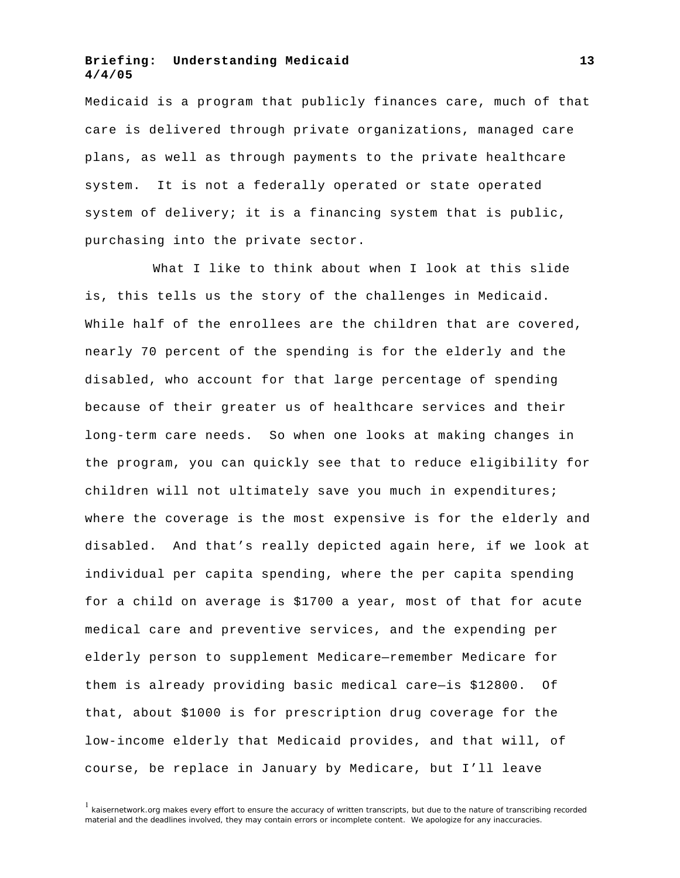Medicaid is a program that publicly finances care, much of that care is delivered through private organizations, managed care plans, as well as through payments to the private healthcare system. It is not a federally operated or state operated system of delivery; it is a financing system that is public, purchasing into the private sector.

What I like to think about when I look at this slide is, this tells us the story of the challenges in Medicaid. While half of the enrollees are the children that are covered, nearly 70 percent of the spending is for the elderly and the disabled, who account for that large percentage of spending because of their greater us of healthcare services and their long-term care needs. So when one looks at making changes in the program, you can quickly see that to reduce eligibility for children will not ultimately save you much in expenditures; where the coverage is the most expensive is for the elderly and disabled. And that's really depicted again here, if we look at individual per capita spending, where the per capita spending for a child on average is \$1700 a year, most of that for acute medical care and preventive services, and the expending per elderly person to supplement Medicare—remember Medicare for them is already providing basic medical care—is \$12800. Of that, about \$1000 is for prescription drug coverage for the low-income elderly that Medicaid provides, and that will, of course, be replace in January by Medicare, but I'll leave

 $<sup>1</sup>$  kaisernetwork.org makes every effort to ensure the accuracy of written transcripts, but due to the nature of transcribing recorded</sup> material and the deadlines involved, they may contain errors or incomplete content. We apologize for any inaccuracies.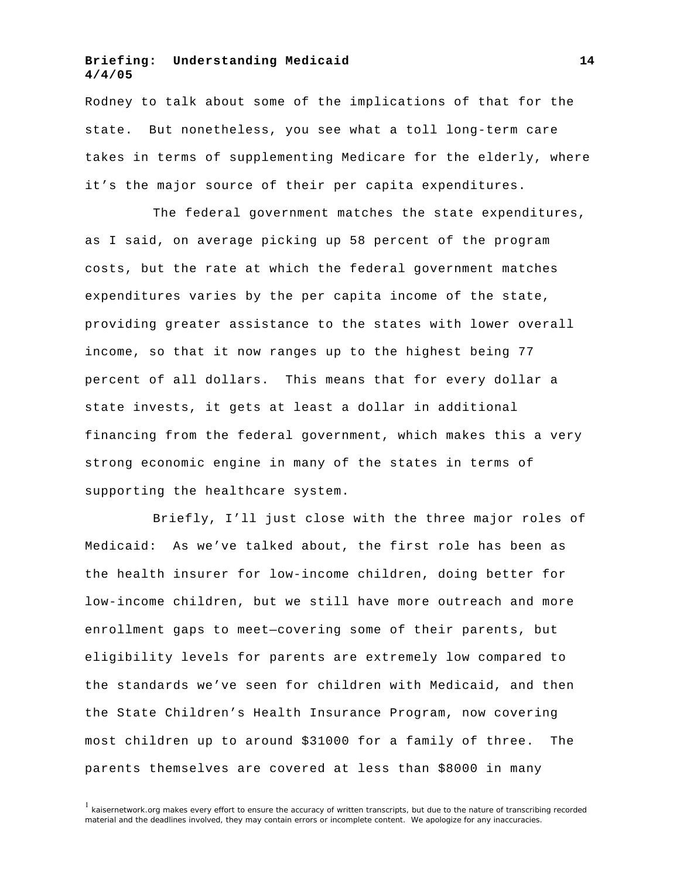Rodney to talk about some of the implications of that for the state. But nonetheless, you see what a toll long-term care takes in terms of supplementing Medicare for the elderly, where it's the major source of their per capita expenditures.

The federal government matches the state expenditures, as I said, on average picking up 58 percent of the program costs, but the rate at which the federal government matches expenditures varies by the per capita income of the state, providing greater assistance to the states with lower overall income, so that it now ranges up to the highest being 77 percent of all dollars. This means that for every dollar a state invests, it gets at least a dollar in additional financing from the federal government, which makes this a very strong economic engine in many of the states in terms of supporting the healthcare system.

Briefly, I'll just close with the three major roles of Medicaid: As we've talked about, the first role has been as the health insurer for low-income children, doing better for low-income children, but we still have more outreach and more enrollment gaps to meet—covering some of their parents, but eligibility levels for parents are extremely low compared to the standards we've seen for children with Medicaid, and then the State Children's Health Insurance Program, now covering most children up to around \$31000 for a family of three. The parents themselves are covered at less than \$8000 in many

<sup>&</sup>lt;sup>1</sup> kaisernetwork.org makes every effort to ensure the accuracy of written transcripts, but due to the nature of transcribing recorded material and the deadlines involved, they may contain errors or incomplete content. We apologize for any inaccuracies.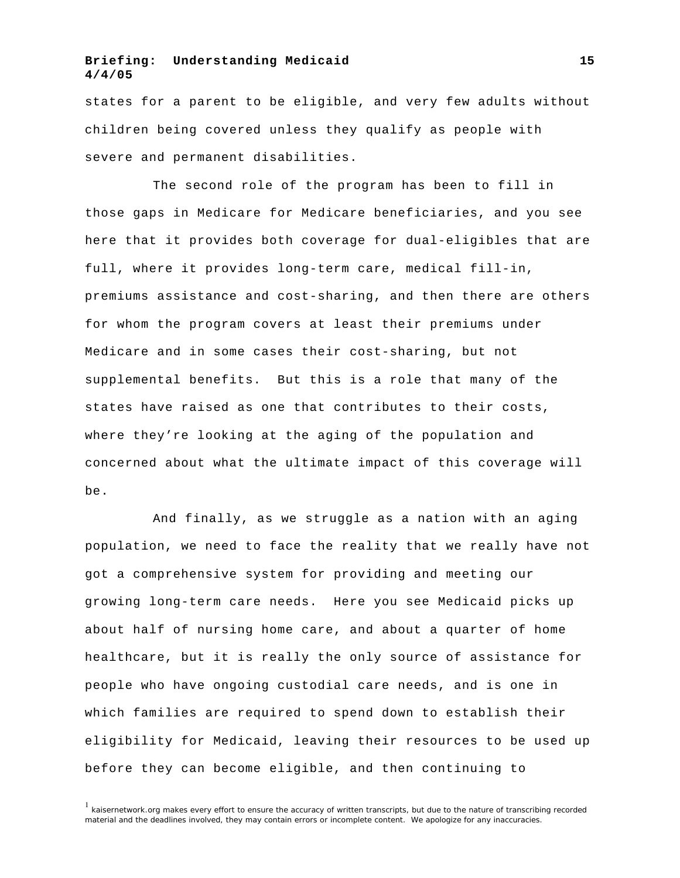states for a parent to be eligible, and very few adults without children being covered unless they qualify as people with severe and permanent disabilities.

The second role of the program has been to fill in those gaps in Medicare for Medicare beneficiaries, and you see here that it provides both coverage for dual-eligibles that are full, where it provides long-term care, medical fill-in, premiums assistance and cost-sharing, and then there are others for whom the program covers at least their premiums under Medicare and in some cases their cost-sharing, but not supplemental benefits. But this is a role that many of the states have raised as one that contributes to their costs, where they're looking at the aging of the population and concerned about what the ultimate impact of this coverage will be.

And finally, as we struggle as a nation with an aging population, we need to face the reality that we really have not got a comprehensive system for providing and meeting our growing long-term care needs. Here you see Medicaid picks up about half of nursing home care, and about a quarter of home healthcare, but it is really the only source of assistance for people who have ongoing custodial care needs, and is one in which families are required to spend down to establish their eligibility for Medicaid, leaving their resources to be used up before they can become eligible, and then continuing to

<sup>1</sup> kaisernetwork.org makes every effort to ensure the accuracy of written transcripts, but due to the nature of transcribing recorded material and the deadlines involved, they may contain errors or incomplete content. We apologize for any inaccuracies.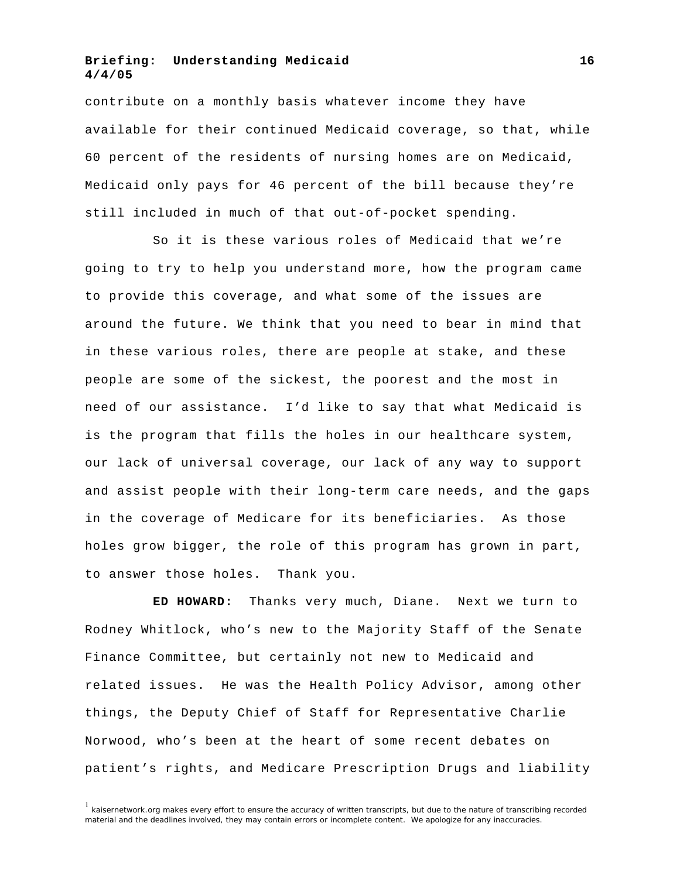contribute on a monthly basis whatever income they have available for their continued Medicaid coverage, so that, while 60 percent of the residents of nursing homes are on Medicaid, Medicaid only pays for 46 percent of the bill because they're still included in much of that out-of-pocket spending.

So it is these various roles of Medicaid that we're going to try to help you understand more, how the program came to provide this coverage, and what some of the issues are around the future. We think that you need to bear in mind that in these various roles, there are people at stake, and these people are some of the sickest, the poorest and the most in need of our assistance. I'd like to say that what Medicaid is is the program that fills the holes in our healthcare system, our lack of universal coverage, our lack of any way to support and assist people with their long-term care needs, and the gaps in the coverage of Medicare for its beneficiaries. As those holes grow bigger, the role of this program has grown in part, to answer those holes. Thank you.

**ED HOWARD:** Thanks very much, Diane. Next we turn to Rodney Whitlock, who's new to the Majority Staff of the Senate Finance Committee, but certainly not new to Medicaid and related issues. He was the Health Policy Advisor, among other things, the Deputy Chief of Staff for Representative Charlie Norwood, who's been at the heart of some recent debates on patient's rights, and Medicare Prescription Drugs and liability

<sup>&</sup>lt;sup>1</sup> kaisernetwork.org makes every effort to ensure the accuracy of written transcripts, but due to the nature of transcribing recorded material and the deadlines involved, they may contain errors or incomplete content. We apologize for any inaccuracies.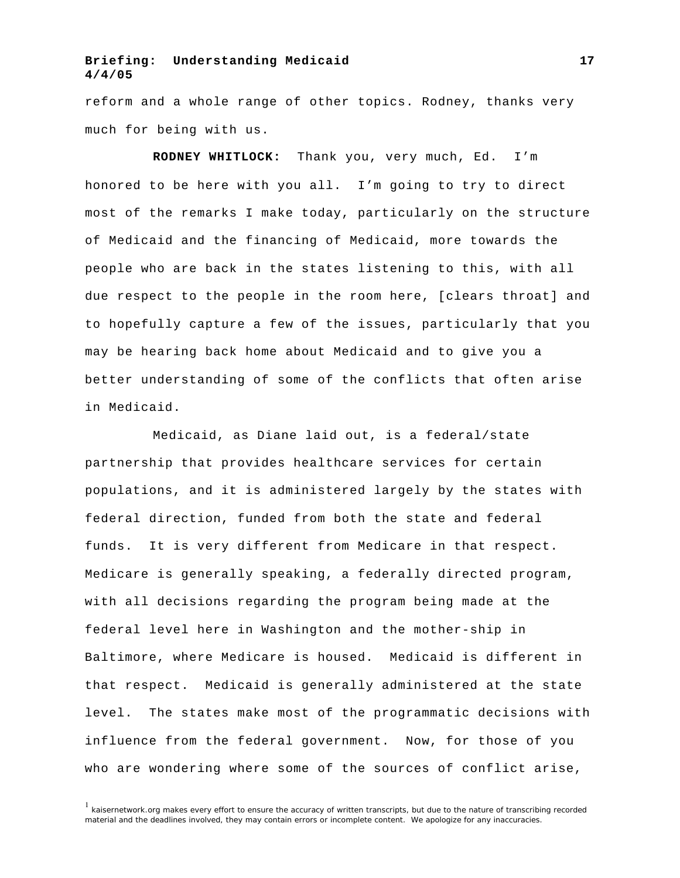reform and a whole range of other topics. Rodney, thanks very much for being with us.

**RODNEY WHITLOCK:** Thank you, very much, Ed. I'm honored to be here with you all. I'm going to try to direct most of the remarks I make today, particularly on the structure of Medicaid and the financing of Medicaid, more towards the people who are back in the states listening to this, with all due respect to the people in the room here, [clears throat] and to hopefully capture a few of the issues, particularly that you may be hearing back home about Medicaid and to give you a better understanding of some of the conflicts that often arise in Medicaid.

Medicaid, as Diane laid out, is a federal/state partnership that provides healthcare services for certain populations, and it is administered largely by the states with federal direction, funded from both the state and federal funds. It is very different from Medicare in that respect. Medicare is generally speaking, a federally directed program, with all decisions regarding the program being made at the federal level here in Washington and the mother-ship in Baltimore, where Medicare is housed. Medicaid is different in that respect. Medicaid is generally administered at the state level. The states make most of the programmatic decisions with influence from the federal government. Now, for those of you who are wondering where some of the sources of conflict arise,

 $1$  kaisernetwork.org makes every effort to ensure the accuracy of written transcripts, but due to the nature of transcribing recorded material and the deadlines involved, they may contain errors or incomplete content. We apologize for any inaccuracies.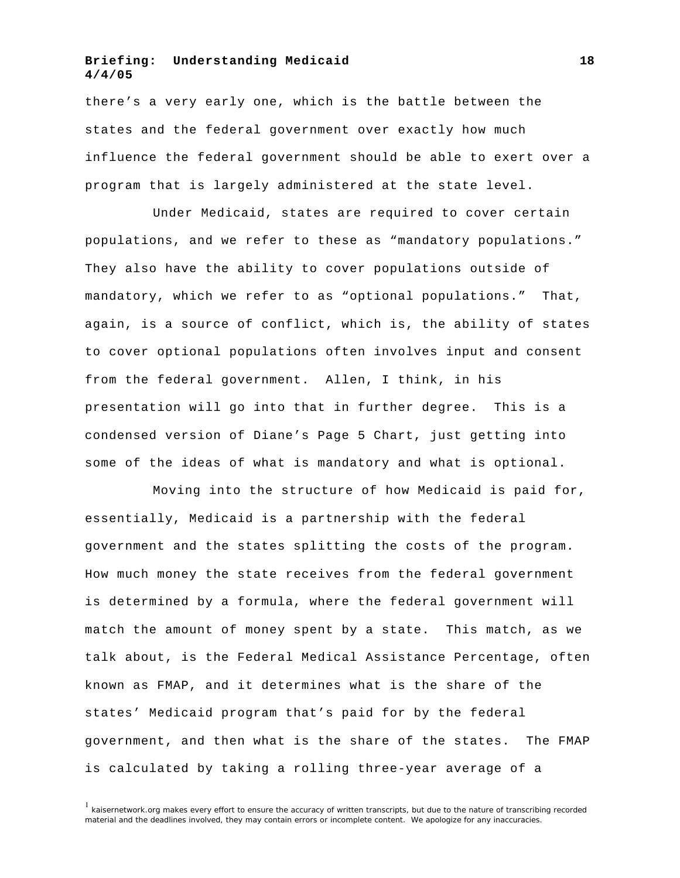there's a very early one, which is the battle between the states and the federal government over exactly how much influence the federal government should be able to exert over a program that is largely administered at the state level.

Under Medicaid, states are required to cover certain populations, and we refer to these as "mandatory populations." They also have the ability to cover populations outside of mandatory, which we refer to as "optional populations." That, again, is a source of conflict, which is, the ability of states to cover optional populations often involves input and consent from the federal government. Allen, I think, in his presentation will go into that in further degree. This is a condensed version of Diane's Page 5 Chart, just getting into some of the ideas of what is mandatory and what is optional.

Moving into the structure of how Medicaid is paid for, essentially, Medicaid is a partnership with the federal government and the states splitting the costs of the program. How much money the state receives from the federal government is determined by a formula, where the federal government will match the amount of money spent by a state. This match, as we talk about, is the Federal Medical Assistance Percentage, often known as FMAP, and it determines what is the share of the states' Medicaid program that's paid for by the federal government, and then what is the share of the states. The FMAP is calculated by taking a rolling three-year average of a

 $1$  kaisernetwork.org makes every effort to ensure the accuracy of written transcripts, but due to the nature of transcribing recorded material and the deadlines involved, they may contain errors or incomplete content. We apologize for any inaccuracies.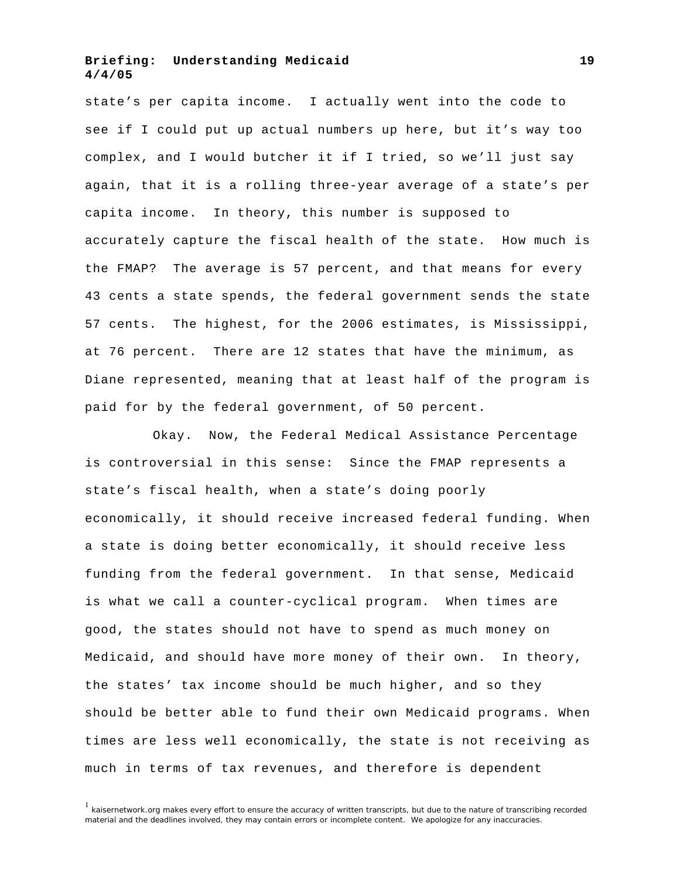state's per capita income. I actually went into the code to see if I could put up actual numbers up here, but it's way too complex, and I would butcher it if I tried, so we'll just say again, that it is a rolling three-year average of a state's per capita income. In theory, this number is supposed to accurately capture the fiscal health of the state. How much is the FMAP? The average is 57 percent, and that means for every 43 cents a state spends, the federal government sends the state 57 cents. The highest, for the 2006 estimates, is Mississippi, at 76 percent. There are 12 states that have the minimum, as Diane represented, meaning that at least half of the program is paid for by the federal government, of 50 percent.

Okay. Now, the Federal Medical Assistance Percentage is controversial in this sense: Since the FMAP represents a state's fiscal health, when a state's doing poorly economically, it should receive increased federal funding. When a state is doing better economically, it should receive less funding from the federal government. In that sense, Medicaid is what we call a counter-cyclical program. When times are good, the states should not have to spend as much money on Medicaid, and should have more money of their own. In theory, the states' tax income should be much higher, and so they should be better able to fund their own Medicaid programs. When times are less well economically, the state is not receiving as much in terms of tax revenues, and therefore is dependent

 $1$  kaisernetwork.org makes every effort to ensure the accuracy of written transcripts, but due to the nature of transcribing recorded material and the deadlines involved, they may contain errors or incomplete content. We apologize for any inaccuracies.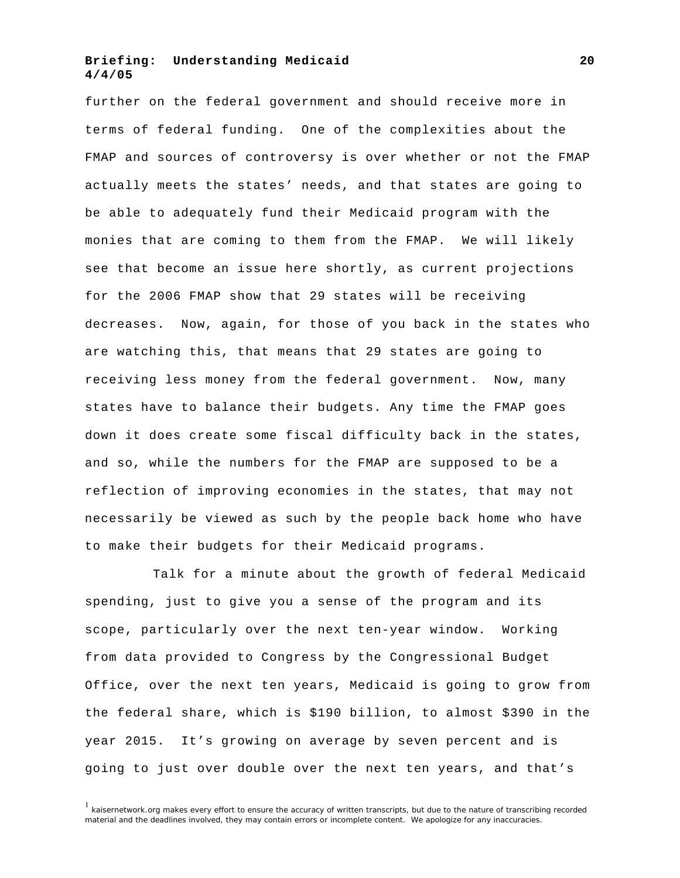further on the federal government and should receive more in terms of federal funding. One of the complexities about the FMAP and sources of controversy is over whether or not the FMAP actually meets the states' needs, and that states are going to be able to adequately fund their Medicaid program with the monies that are coming to them from the FMAP. We will likely see that become an issue here shortly, as current projections for the 2006 FMAP show that 29 states will be receiving decreases. Now, again, for those of you back in the states who are watching this, that means that 29 states are going to receiving less money from the federal government. Now, many states have to balance their budgets. Any time the FMAP goes down it does create some fiscal difficulty back in the states, and so, while the numbers for the FMAP are supposed to be a reflection of improving economies in the states, that may not necessarily be viewed as such by the people back home who have to make their budgets for their Medicaid programs.

Talk for a minute about the growth of federal Medicaid spending, just to give you a sense of the program and its scope, particularly over the next ten-year window. Working from data provided to Congress by the Congressional Budget Office, over the next ten years, Medicaid is going to grow from the federal share, which is \$190 billion, to almost \$390 in the year 2015. It's growing on average by seven percent and is going to just over double over the next ten years, and that's

 $1$  kaisernetwork.org makes every effort to ensure the accuracy of written transcripts, but due to the nature of transcribing recorded material and the deadlines involved, they may contain errors or incomplete content. We apologize for any inaccuracies.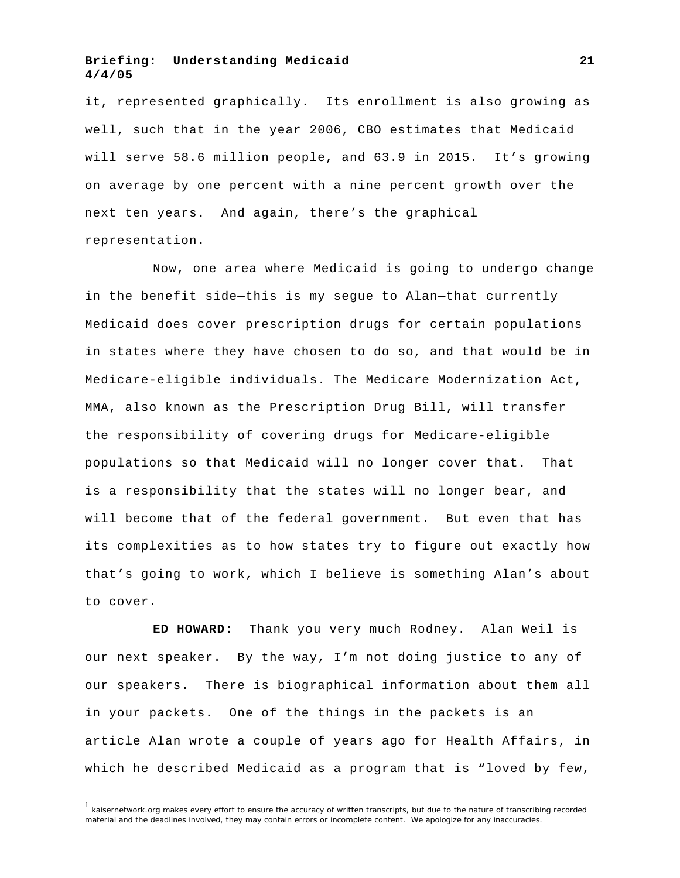it, represented graphically. Its enrollment is also growing as well, such that in the year 2006, CBO estimates that Medicaid will serve 58.6 million people, and 63.9 in 2015. It's growing on average by one percent with a nine percent growth over the next ten years. And again, there's the graphical representation.

Now, one area where Medicaid is going to undergo change in the benefit side—this is my segue to Alan—that currently Medicaid does cover prescription drugs for certain populations in states where they have chosen to do so, and that would be in Medicare-eligible individuals. The Medicare Modernization Act, MMA, also known as the Prescription Drug Bill, will transfer the responsibility of covering drugs for Medicare-eligible populations so that Medicaid will no longer cover that. That is a responsibility that the states will no longer bear, and will become that of the federal government. But even that has its complexities as to how states try to figure out exactly how that's going to work, which I believe is something Alan's about to cover.

**ED HOWARD:** Thank you very much Rodney. Alan Weil is our next speaker. By the way, I'm not doing justice to any of our speakers. There is biographical information about them all in your packets. One of the things in the packets is an article Alan wrote a couple of years ago for Health Affairs, in which he described Medicaid as a program that is "loved by few,

 $1$  kaisernetwork.org makes every effort to ensure the accuracy of written transcripts, but due to the nature of transcribing recorded material and the deadlines involved, they may contain errors or incomplete content. We apologize for any inaccuracies.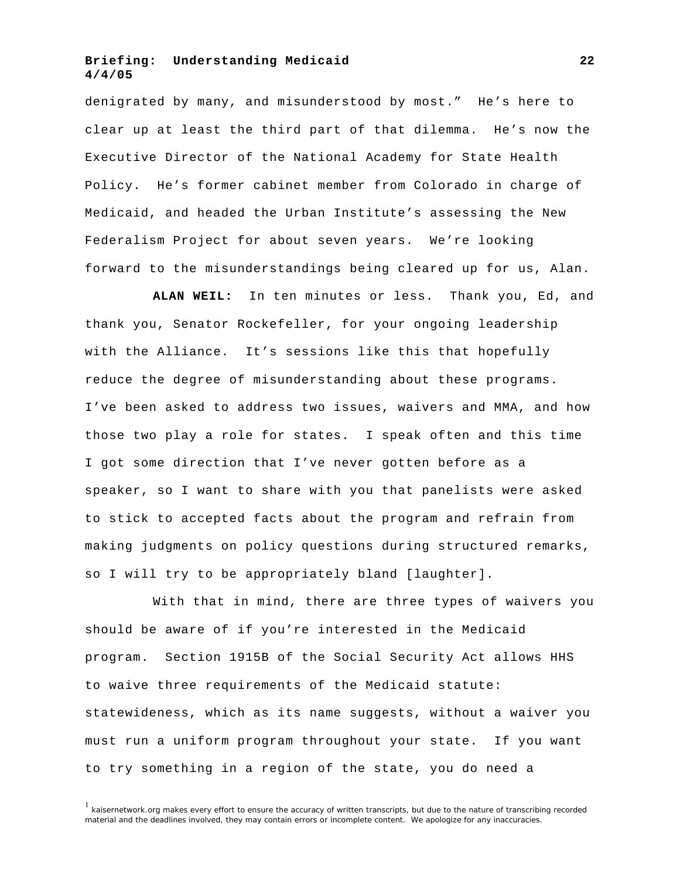denigrated by many, and misunderstood by most." He's here to clear up at least the third part of that dilemma. He's now the Executive Director of the National Academy for State Health Policy. He's former cabinet member from Colorado in charge of Medicaid, and headed the Urban Institute's assessing the New Federalism Project for about seven years. We're looking forward to the misunderstandings being cleared up for us, Alan.

**ALAN WEIL:** In ten minutes or less. Thank you, Ed, and thank you, Senator Rockefeller, for your ongoing leadership with the Alliance. It's sessions like this that hopefully reduce the degree of misunderstanding about these programs. I've been asked to address two issues, waivers and MMA, and how those two play a role for states. I speak often and this time I got some direction that I've never gotten before as a speaker, so I want to share with you that panelists were asked to stick to accepted facts about the program and refrain from making judgments on policy questions during structured remarks, so I will try to be appropriately bland [laughter].

With that in mind, there are three types of waivers you should be aware of if you're interested in the Medicaid program. Section 1915B of the Social Security Act allows HHS to waive three requirements of the Medicaid statute: statewideness, which as its name suggests, without a waiver you must run a uniform program throughout your state. If you want to try something in a region of the state, you do need a

 $1$  kaisernetwork.org makes every effort to ensure the accuracy of written transcripts, but due to the nature of transcribing recorded material and the deadlines involved, they may contain errors or incomplete content. We apologize for any inaccuracies.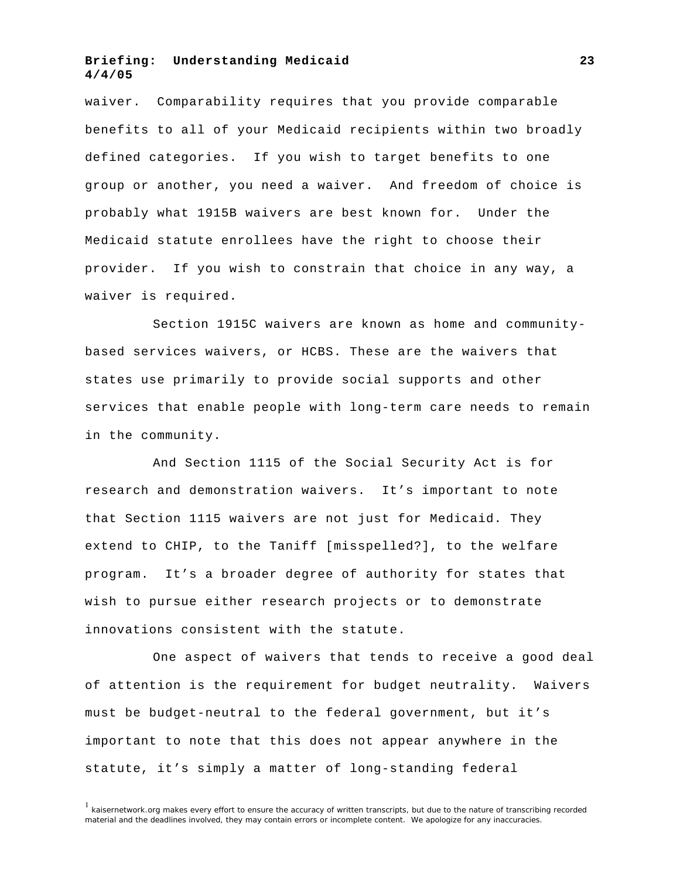waiver. Comparability requires that you provide comparable benefits to all of your Medicaid recipients within two broadly defined categories. If you wish to target benefits to one group or another, you need a waiver. And freedom of choice is probably what 1915B waivers are best known for. Under the Medicaid statute enrollees have the right to choose their provider. If you wish to constrain that choice in any way, a waiver is required.

Section 1915C waivers are known as home and communitybased services waivers, or HCBS. These are the waivers that states use primarily to provide social supports and other services that enable people with long-term care needs to remain in the community.

And Section 1115 of the Social Security Act is for research and demonstration waivers. It's important to note that Section 1115 waivers are not just for Medicaid. They extend to CHIP, to the Taniff [misspelled?], to the welfare program. It's a broader degree of authority for states that wish to pursue either research projects or to demonstrate innovations consistent with the statute.

One aspect of waivers that tends to receive a good deal of attention is the requirement for budget neutrality. Waivers must be budget-neutral to the federal government, but it's important to note that this does not appear anywhere in the statute, it's simply a matter of long-standing federal

 $<sup>1</sup>$  kaisernetwork.org makes every effort to ensure the accuracy of written transcripts, but due to the nature of transcribing recorded</sup> material and the deadlines involved, they may contain errors or incomplete content. We apologize for any inaccuracies.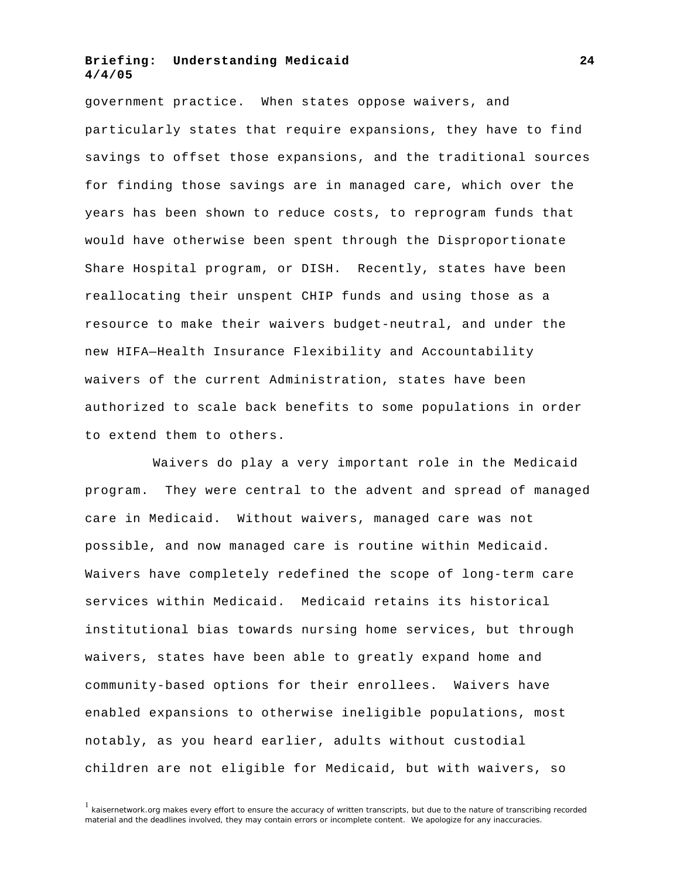government practice. When states oppose waivers, and particularly states that require expansions, they have to find savings to offset those expansions, and the traditional sources for finding those savings are in managed care, which over the years has been shown to reduce costs, to reprogram funds that would have otherwise been spent through the Disproportionate Share Hospital program, or DISH. Recently, states have been reallocating their unspent CHIP funds and using those as a resource to make their waivers budget-neutral, and under the new HIFA—Health Insurance Flexibility and Accountability waivers of the current Administration, states have been authorized to scale back benefits to some populations in order to extend them to others.

Waivers do play a very important role in the Medicaid program. They were central to the advent and spread of managed care in Medicaid. Without waivers, managed care was not possible, and now managed care is routine within Medicaid. Waivers have completely redefined the scope of long-term care services within Medicaid. Medicaid retains its historical institutional bias towards nursing home services, but through waivers, states have been able to greatly expand home and community-based options for their enrollees. Waivers have enabled expansions to otherwise ineligible populations, most notably, as you heard earlier, adults without custodial children are not eligible for Medicaid, but with waivers, so

 $<sup>1</sup>$  kaisernetwork.org makes every effort to ensure the accuracy of written transcripts, but due to the nature of transcribing recorded</sup> material and the deadlines involved, they may contain errors or incomplete content. We apologize for any inaccuracies.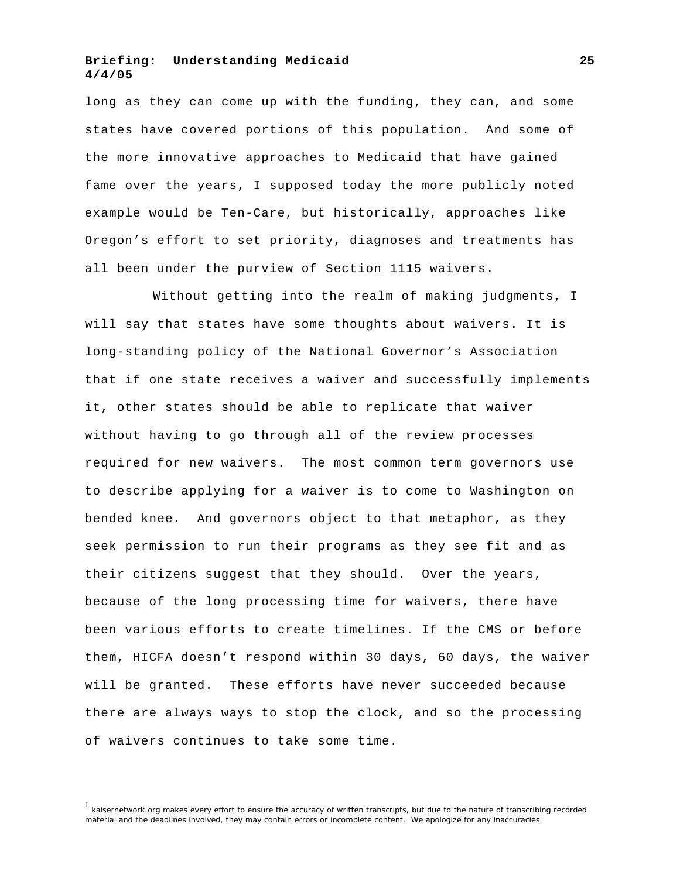long as they can come up with the funding, they can, and some states have covered portions of this population. And some of the more innovative approaches to Medicaid that have gained fame over the years, I supposed today the more publicly noted example would be Ten-Care, but historically, approaches like Oregon's effort to set priority, diagnoses and treatments has all been under the purview of Section 1115 waivers.

Without getting into the realm of making judgments, I will say that states have some thoughts about waivers. It is long-standing policy of the National Governor's Association that if one state receives a waiver and successfully implements it, other states should be able to replicate that waiver without having to go through all of the review processes required for new waivers. The most common term governors use to describe applying for a waiver is to come to Washington on bended knee. And governors object to that metaphor, as they seek permission to run their programs as they see fit and as their citizens suggest that they should. Over the years, because of the long processing time for waivers, there have been various efforts to create timelines. If the CMS or before them, HICFA doesn't respond within 30 days, 60 days, the waiver will be granted. These efforts have never succeeded because there are always ways to stop the clock, and so the processing of waivers continues to take some time.

<sup>&</sup>lt;sup>1</sup> kaisernetwork.org makes every effort to ensure the accuracy of written transcripts, but due to the nature of transcribing recorded material and the deadlines involved, they may contain errors or incomplete content. We apologize for any inaccuracies.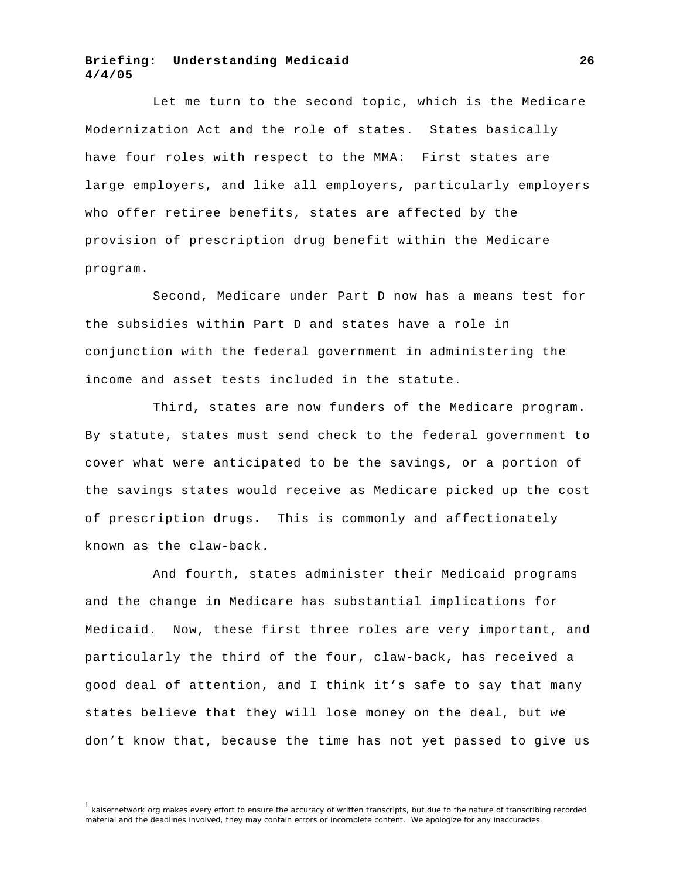Let me turn to the second topic, which is the Medicare Modernization Act and the role of states. States basically have four roles with respect to the MMA: First states are large employers, and like all employers, particularly employers who offer retiree benefits, states are affected by the provision of prescription drug benefit within the Medicare program.

Second, Medicare under Part D now has a means test for the subsidies within Part D and states have a role in conjunction with the federal government in administering the income and asset tests included in the statute.

Third, states are now funders of the Medicare program. By statute, states must send check to the federal government to cover what were anticipated to be the savings, or a portion of the savings states would receive as Medicare picked up the cost of prescription drugs. This is commonly and affectionately known as the claw-back.

And fourth, states administer their Medicaid programs and the change in Medicare has substantial implications for Medicaid. Now, these first three roles are very important, and particularly the third of the four, claw-back, has received a good deal of attention, and I think it's safe to say that many states believe that they will lose money on the deal, but we don't know that, because the time has not yet passed to give us

<sup>1</sup> kaisernetwork.org makes every effort to ensure the accuracy of written transcripts, but due to the nature of transcribing recorded material and the deadlines involved, they may contain errors or incomplete content. We apologize for any inaccuracies.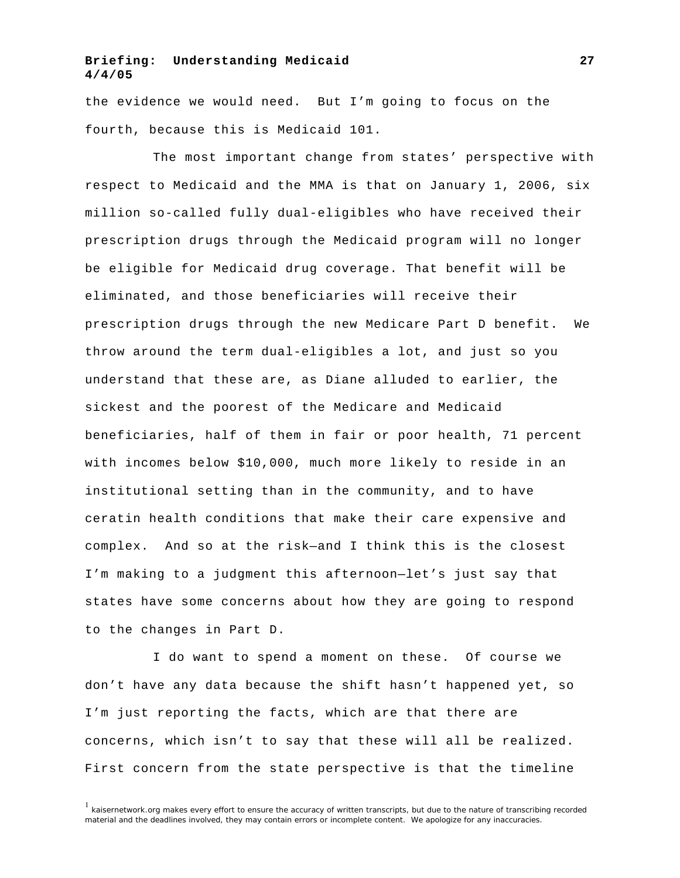the evidence we would need. But I'm going to focus on the fourth, because this is Medicaid 101.

The most important change from states' perspective with respect to Medicaid and the MMA is that on January 1, 2006, six million so-called fully dual-eligibles who have received their prescription drugs through the Medicaid program will no longer be eligible for Medicaid drug coverage. That benefit will be eliminated, and those beneficiaries will receive their prescription drugs through the new Medicare Part D benefit. We throw around the term dual-eligibles a lot, and just so you understand that these are, as Diane alluded to earlier, the sickest and the poorest of the Medicare and Medicaid beneficiaries, half of them in fair or poor health, 71 percent with incomes below \$10,000, much more likely to reside in an institutional setting than in the community, and to have ceratin health conditions that make their care expensive and complex. And so at the risk—and I think this is the closest I'm making to a judgment this afternoon—let's just say that states have some concerns about how they are going to respond to the changes in Part D.

I do want to spend a moment on these. Of course we don't have any data because the shift hasn't happened yet, so I'm just reporting the facts, which are that there are concerns, which isn't to say that these will all be realized. First concern from the state perspective is that the timeline

 $1$  kaisernetwork.org makes every effort to ensure the accuracy of written transcripts, but due to the nature of transcribing recorded material and the deadlines involved, they may contain errors or incomplete content. We apologize for any inaccuracies.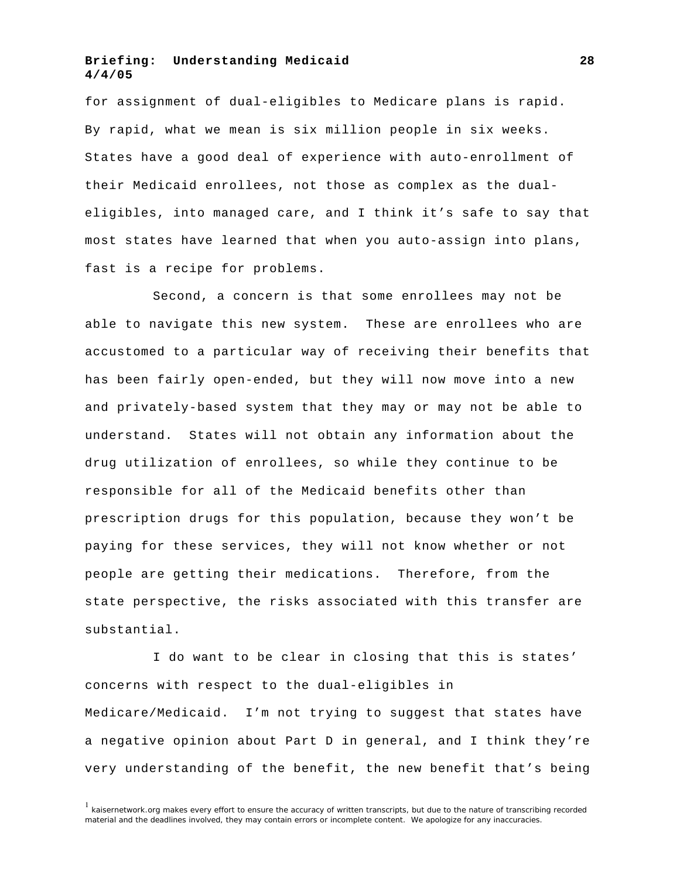for assignment of dual-eligibles to Medicare plans is rapid. By rapid, what we mean is six million people in six weeks. States have a good deal of experience with auto-enrollment of their Medicaid enrollees, not those as complex as the dualeligibles, into managed care, and I think it's safe to say that most states have learned that when you auto-assign into plans, fast is a recipe for problems.

Second, a concern is that some enrollees may not be able to navigate this new system. These are enrollees who are accustomed to a particular way of receiving their benefits that has been fairly open-ended, but they will now move into a new and privately-based system that they may or may not be able to understand. States will not obtain any information about the drug utilization of enrollees, so while they continue to be responsible for all of the Medicaid benefits other than prescription drugs for this population, because they won't be paying for these services, they will not know whether or not people are getting their medications. Therefore, from the state perspective, the risks associated with this transfer are substantial.

I do want to be clear in closing that this is states' concerns with respect to the dual-eligibles in Medicare/Medicaid. I'm not trying to suggest that states have a negative opinion about Part D in general, and I think they're very understanding of the benefit, the new benefit that's being

 $1$  kaisernetwork.org makes every effort to ensure the accuracy of written transcripts, but due to the nature of transcribing recorded material and the deadlines involved, they may contain errors or incomplete content. We apologize for any inaccuracies.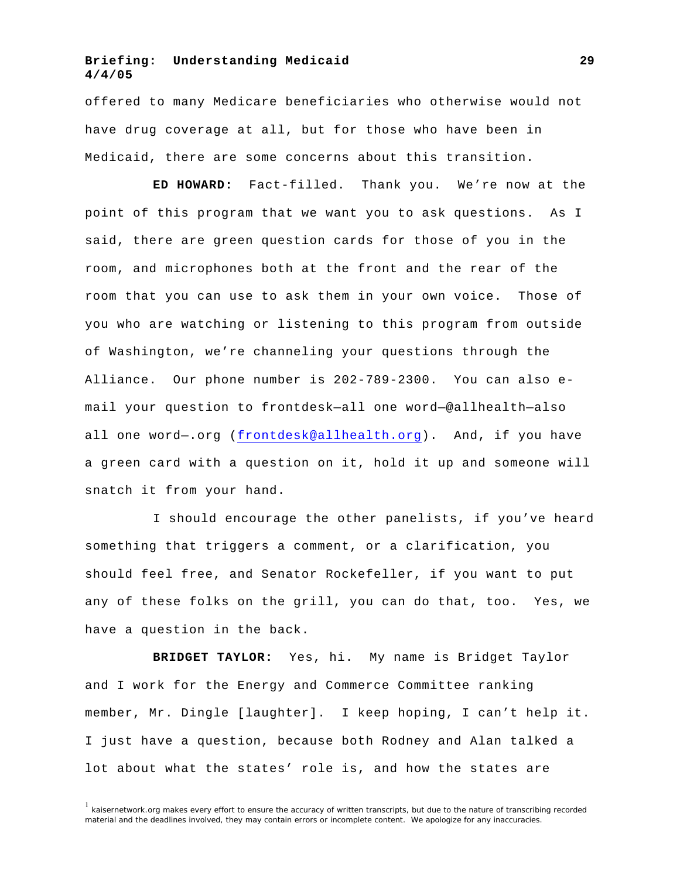offered to many Medicare beneficiaries who otherwise would not have drug coverage at all, but for those who have been in Medicaid, there are some concerns about this transition.

**ED HOWARD:** Fact-filled. Thank you. We're now at the point of this program that we want you to ask questions. As I said, there are green question cards for those of you in the room, and microphones both at the front and the rear of the room that you can use to ask them in your own voice. Those of you who are watching or listening to this program from outside of Washington, we're channeling your questions through the Alliance. Our phone number is 202-789-2300. You can also email your question to frontdesk—all one word—@allhealth—also all one word—.org (frontdesk@allhealth.org). And, if you have a green card with a question on it, hold it up and someone will snatch it from your hand.

I should encourage the other panelists, if you've heard something that triggers a comment, or a clarification, you should feel free, and Senator Rockefeller, if you want to put any of these folks on the grill, you can do that, too. Yes, we have a question in the back.

**BRIDGET TAYLOR:** Yes, hi. My name is Bridget Taylor and I work for the Energy and Commerce Committee ranking member, Mr. Dingle [laughter]. I keep hoping, I can't help it. I just have a question, because both Rodney and Alan talked a lot about what the states' role is, and how the states are

 $<sup>1</sup>$  kaisernetwork.org makes every effort to ensure the accuracy of written transcripts, but due to the nature of transcribing recorded</sup> material and the deadlines involved, they may contain errors or incomplete content. We apologize for any inaccuracies.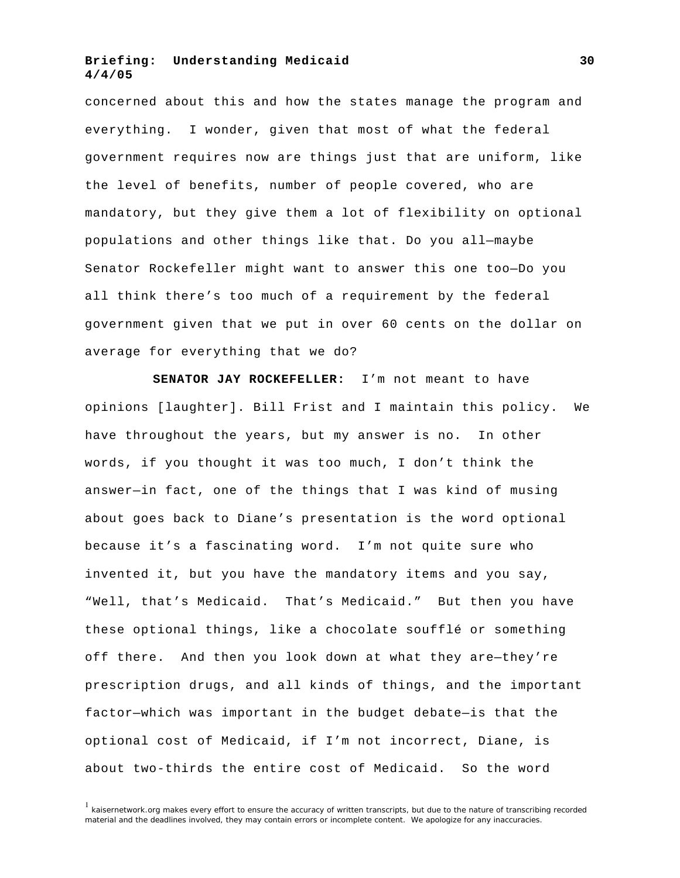concerned about this and how the states manage the program and everything. I wonder, given that most of what the federal government requires now are things just that are uniform, like the level of benefits, number of people covered, who are mandatory, but they give them a lot of flexibility on optional populations and other things like that. Do you all—maybe Senator Rockefeller might want to answer this one too—Do you all think there's too much of a requirement by the federal government given that we put in over 60 cents on the dollar on average for everything that we do?

**SENATOR JAY ROCKEFELLER:** I'm not meant to have opinions [laughter]. Bill Frist and I maintain this policy. We have throughout the years, but my answer is no. In other words, if you thought it was too much, I don't think the answer—in fact, one of the things that I was kind of musing about goes back to Diane's presentation is the word optional because it's a fascinating word. I'm not quite sure who invented it, but you have the mandatory items and you say, "Well, that's Medicaid. That's Medicaid." But then you have these optional things, like a chocolate soufflé or something off there. And then you look down at what they are—they're prescription drugs, and all kinds of things, and the important factor—which was important in the budget debate—is that the optional cost of Medicaid, if I'm not incorrect, Diane, is about two-thirds the entire cost of Medicaid. So the word

 $<sup>1</sup>$  kaisernetwork.org makes every effort to ensure the accuracy of written transcripts, but due to the nature of transcribing recorded</sup> material and the deadlines involved, they may contain errors or incomplete content. We apologize for any inaccuracies.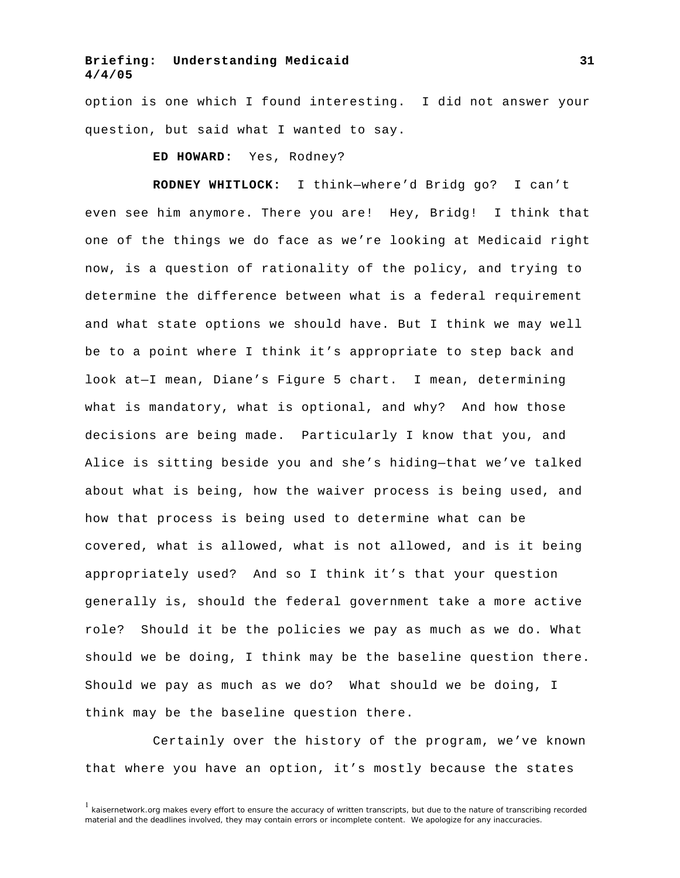option is one which I found interesting. I did not answer your question, but said what I wanted to say.

**ED HOWARD:** Yes, Rodney?

**RODNEY WHITLOCK:** I think—where'd Bridg go? I can't even see him anymore. There you are! Hey, Bridg! I think that one of the things we do face as we're looking at Medicaid right now, is a question of rationality of the policy, and trying to determine the difference between what is a federal requirement and what state options we should have. But I think we may well be to a point where I think it's appropriate to step back and look at—I mean, Diane's Figure 5 chart. I mean, determining what is mandatory, what is optional, and why? And how those decisions are being made. Particularly I know that you, and Alice is sitting beside you and she's hiding—that we've talked about what is being, how the waiver process is being used, and how that process is being used to determine what can be covered, what is allowed, what is not allowed, and is it being appropriately used? And so I think it's that your question generally is, should the federal government take a more active role? Should it be the policies we pay as much as we do. What should we be doing, I think may be the baseline question there. Should we pay as much as we do? What should we be doing, I think may be the baseline question there.

Certainly over the history of the program, we've known that where you have an option, it's mostly because the states

 $1$  kaisernetwork.org makes every effort to ensure the accuracy of written transcripts, but due to the nature of transcribing recorded material and the deadlines involved, they may contain errors or incomplete content. We apologize for any inaccuracies.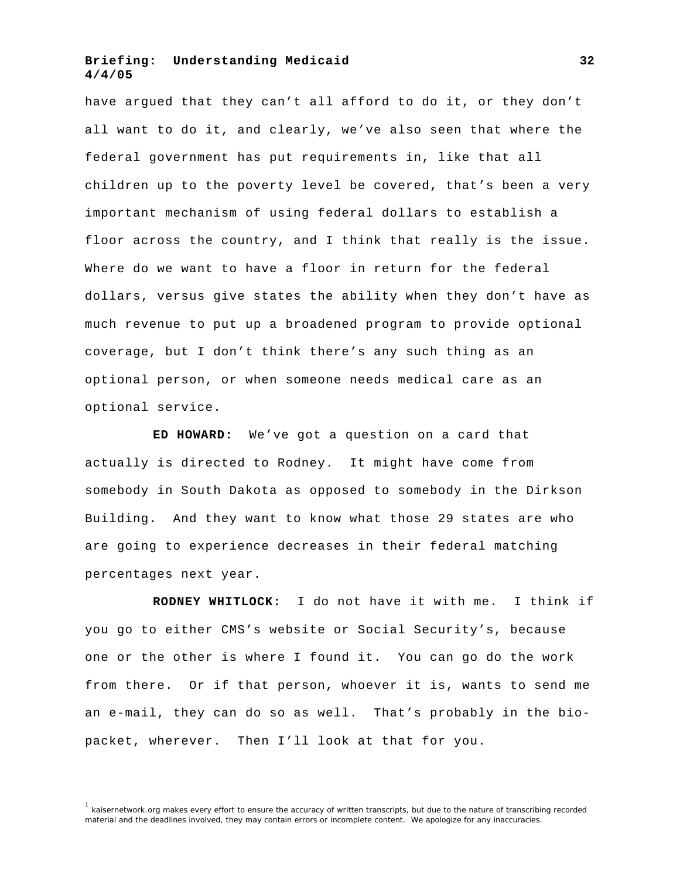have argued that they can't all afford to do it, or they don't all want to do it, and clearly, we've also seen that where the federal government has put requirements in, like that all children up to the poverty level be covered, that's been a very important mechanism of using federal dollars to establish a floor across the country, and I think that really is the issue. Where do we want to have a floor in return for the federal dollars, versus give states the ability when they don't have as much revenue to put up a broadened program to provide optional coverage, but I don't think there's any such thing as an optional person, or when someone needs medical care as an optional service.

**ED HOWARD:** We've got a question on a card that actually is directed to Rodney. It might have come from somebody in South Dakota as opposed to somebody in the Dirkson Building. And they want to know what those 29 states are who are going to experience decreases in their federal matching percentages next year.

**RODNEY WHITLOCK:** I do not have it with me. I think if you go to either CMS's website or Social Security's, because one or the other is where I found it. You can go do the work from there. Or if that person, whoever it is, wants to send me an e-mail, they can do so as well. That's probably in the biopacket, wherever. Then I'll look at that for you.

<sup>1</sup> kaisernetwork.org makes every effort to ensure the accuracy of written transcripts, but due to the nature of transcribing recorded material and the deadlines involved, they may contain errors or incomplete content. We apologize for any inaccuracies.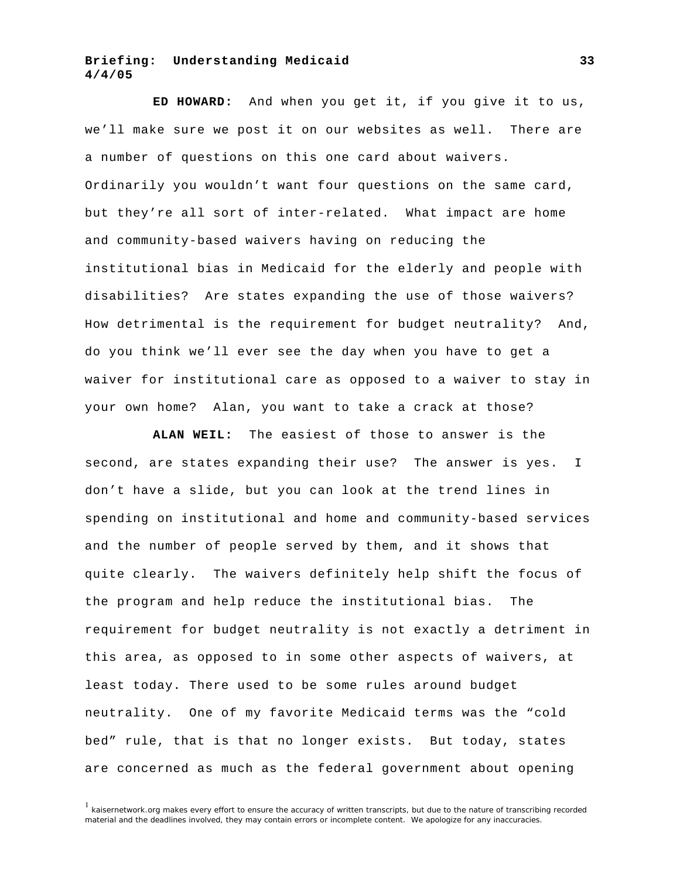**ED HOWARD:** And when you get it, if you give it to us, we'll make sure we post it on our websites as well. There are a number of questions on this one card about waivers. Ordinarily you wouldn't want four questions on the same card, but they're all sort of inter-related. What impact are home and community-based waivers having on reducing the institutional bias in Medicaid for the elderly and people with disabilities? Are states expanding the use of those waivers? How detrimental is the requirement for budget neutrality? And, do you think we'll ever see the day when you have to get a waiver for institutional care as opposed to a waiver to stay in your own home? Alan, you want to take a crack at those?

**ALAN WEIL:** The easiest of those to answer is the second, are states expanding their use? The answer is yes. I don't have a slide, but you can look at the trend lines in spending on institutional and home and community-based services and the number of people served by them, and it shows that quite clearly. The waivers definitely help shift the focus of the program and help reduce the institutional bias. The requirement for budget neutrality is not exactly a detriment in this area, as opposed to in some other aspects of waivers, at least today. There used to be some rules around budget neutrality. One of my favorite Medicaid terms was the "cold bed" rule, that is that no longer exists. But today, states are concerned as much as the federal government about opening

 $1$  kaisernetwork.org makes every effort to ensure the accuracy of written transcripts, but due to the nature of transcribing recorded material and the deadlines involved, they may contain errors or incomplete content. We apologize for any inaccuracies.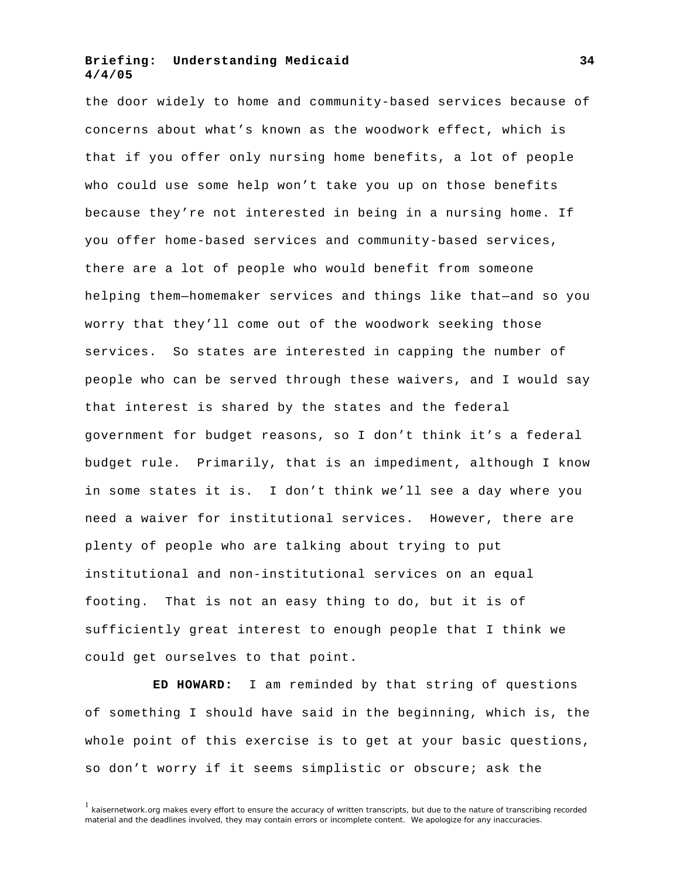the door widely to home and community-based services because of concerns about what's known as the woodwork effect, which is that if you offer only nursing home benefits, a lot of people who could use some help won't take you up on those benefits because they're not interested in being in a nursing home. If you offer home-based services and community-based services, there are a lot of people who would benefit from someone helping them—homemaker services and things like that—and so you worry that they'll come out of the woodwork seeking those services. So states are interested in capping the number of people who can be served through these waivers, and I would say that interest is shared by the states and the federal government for budget reasons, so I don't think it's a federal budget rule. Primarily, that is an impediment, although I know in some states it is. I don't think we'll see a day where you need a waiver for institutional services. However, there are plenty of people who are talking about trying to put institutional and non-institutional services on an equal footing. That is not an easy thing to do, but it is of sufficiently great interest to enough people that I think we could get ourselves to that point.

**ED HOWARD:** I am reminded by that string of questions of something I should have said in the beginning, which is, the whole point of this exercise is to get at your basic questions, so don't worry if it seems simplistic or obscure; ask the

 $<sup>1</sup>$  kaisernetwork.org makes every effort to ensure the accuracy of written transcripts, but due to the nature of transcribing recorded</sup> material and the deadlines involved, they may contain errors or incomplete content. We apologize for any inaccuracies.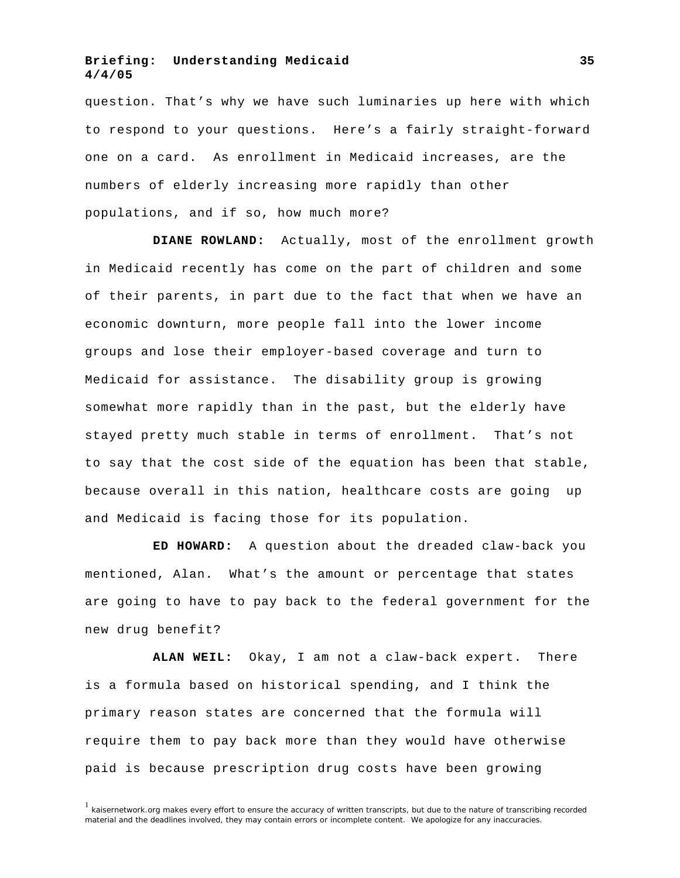question. That's why we have such luminaries up here with which to respond to your questions. Here's a fairly straight-forward one on a card. As enrollment in Medicaid increases, are the numbers of elderly increasing more rapidly than other populations, and if so, how much more?

**DIANE ROWLAND:** Actually, most of the enrollment growth in Medicaid recently has come on the part of children and some of their parents, in part due to the fact that when we have an economic downturn, more people fall into the lower income groups and lose their employer-based coverage and turn to Medicaid for assistance. The disability group is growing somewhat more rapidly than in the past, but the elderly have stayed pretty much stable in terms of enrollment. That's not to say that the cost side of the equation has been that stable, because overall in this nation, healthcare costs are going up and Medicaid is facing those for its population.

**ED HOWARD:** A question about the dreaded claw-back you mentioned, Alan. What's the amount or percentage that states are going to have to pay back to the federal government for the new drug benefit?

**ALAN WEIL:** Okay, I am not a claw-back expert. There is a formula based on historical spending, and I think the primary reason states are concerned that the formula will require them to pay back more than they would have otherwise paid is because prescription drug costs have been growing

<sup>&</sup>lt;sup>1</sup> kaisernetwork.org makes every effort to ensure the accuracy of written transcripts, but due to the nature of transcribing recorded material and the deadlines involved, they may contain errors or incomplete content. We apologize for any inaccuracies.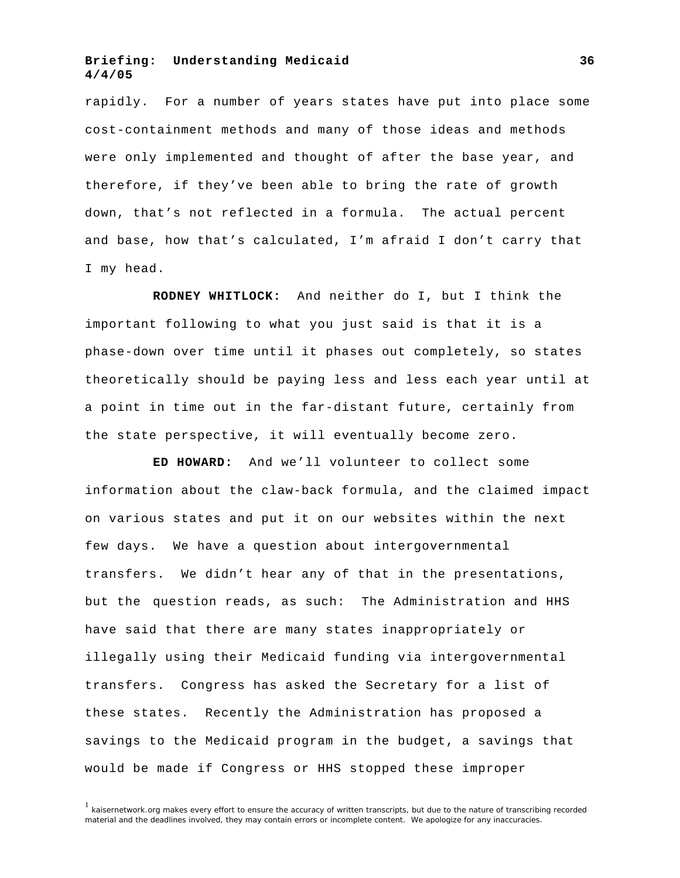rapidly. For a number of years states have put into place some cost-containment methods and many of those ideas and methods were only implemented and thought of after the base year, and therefore, if they've been able to bring the rate of growth down, that's not reflected in a formula. The actual percent and base, how that's calculated, I'm afraid I don't carry that I my head.

**RODNEY WHITLOCK:** And neither do I, but I think the important following to what you just said is that it is a phase-down over time until it phases out completely, so states theoretically should be paying less and less each year until at a point in time out in the far-distant future, certainly from the state perspective, it will eventually become zero.

**ED HOWARD:** And we'll volunteer to collect some information about the claw-back formula, and the claimed impact on various states and put it on our websites within the next few days. We have a question about intergovernmental transfers. We didn't hear any of that in the presentations, but the question reads, as such: The Administration and HHS have said that there are many states inappropriately or illegally using their Medicaid funding via intergovernmental transfers. Congress has asked the Secretary for a list of these states. Recently the Administration has proposed a savings to the Medicaid program in the budget, a savings that would be made if Congress or HHS stopped these improper

 $1$  kaisernetwork.org makes every effort to ensure the accuracy of written transcripts, but due to the nature of transcribing recorded material and the deadlines involved, they may contain errors or incomplete content. We apologize for any inaccuracies.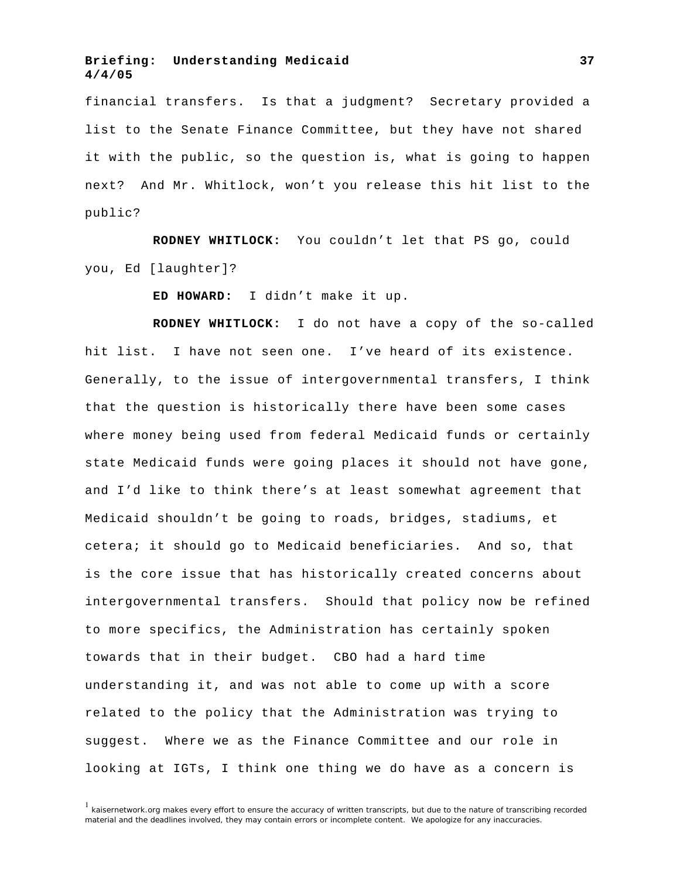financial transfers. Is that a judgment? Secretary provided a list to the Senate Finance Committee, but they have not shared it with the public, so the question is, what is going to happen next? And Mr. Whitlock, won't you release this hit list to the public?

**RODNEY WHITLOCK:** You couldn't let that PS go, could you, Ed [laughter]?

**ED HOWARD:** I didn't make it up.

**RODNEY WHITLOCK:** I do not have a copy of the so-called hit list. I have not seen one. I've heard of its existence. Generally, to the issue of intergovernmental transfers, I think that the question is historically there have been some cases where money being used from federal Medicaid funds or certainly state Medicaid funds were going places it should not have gone, and I'd like to think there's at least somewhat agreement that Medicaid shouldn't be going to roads, bridges, stadiums, et cetera; it should go to Medicaid beneficiaries. And so, that is the core issue that has historically created concerns about intergovernmental transfers. Should that policy now be refined to more specifics, the Administration has certainly spoken towards that in their budget. CBO had a hard time understanding it, and was not able to come up with a score related to the policy that the Administration was trying to suggest. Where we as the Finance Committee and our role in looking at IGTs, I think one thing we do have as a concern is

 $<sup>1</sup>$  kaisernetwork.org makes every effort to ensure the accuracy of written transcripts, but due to the nature of transcribing recorded</sup> material and the deadlines involved, they may contain errors or incomplete content. We apologize for any inaccuracies.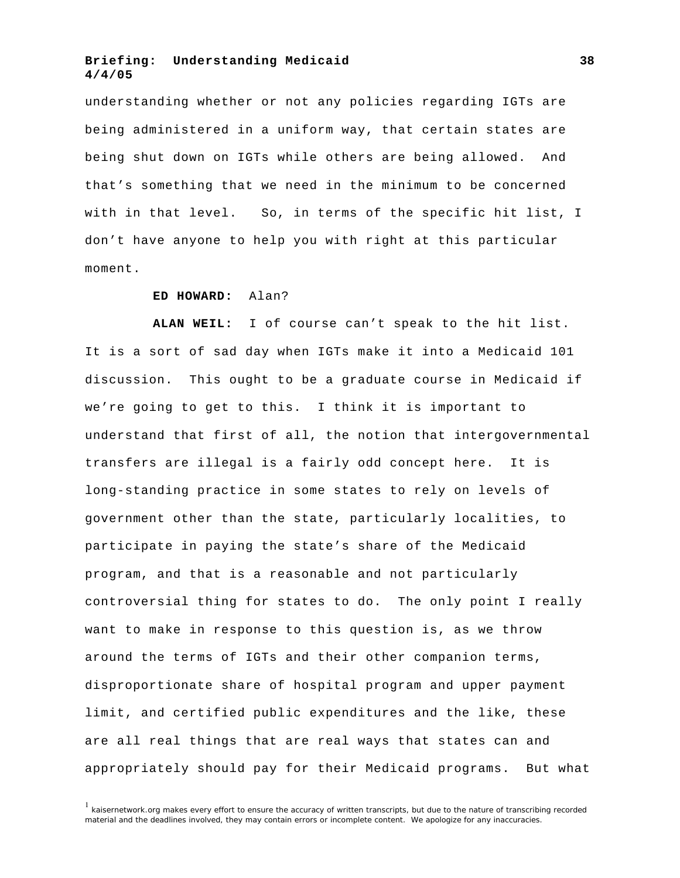understanding whether or not any policies regarding IGTs are being administered in a uniform way, that certain states are being shut down on IGTs while others are being allowed. And that's something that we need in the minimum to be concerned with in that level. So, in terms of the specific hit list, I don't have anyone to help you with right at this particular moment.

#### **ED HOWARD:** Alan?

**ALAN WEIL:** I of course can't speak to the hit list. It is a sort of sad day when IGTs make it into a Medicaid 101 discussion. This ought to be a graduate course in Medicaid if we're going to get to this. I think it is important to understand that first of all, the notion that intergovernmental transfers are illegal is a fairly odd concept here. It is long-standing practice in some states to rely on levels of government other than the state, particularly localities, to participate in paying the state's share of the Medicaid program, and that is a reasonable and not particularly controversial thing for states to do. The only point I really want to make in response to this question is, as we throw around the terms of IGTs and their other companion terms, disproportionate share of hospital program and upper payment limit, and certified public expenditures and the like, these are all real things that are real ways that states can and appropriately should pay for their Medicaid programs. But what

 $1$  kaisernetwork.org makes every effort to ensure the accuracy of written transcripts, but due to the nature of transcribing recorded material and the deadlines involved, they may contain errors or incomplete content. We apologize for any inaccuracies.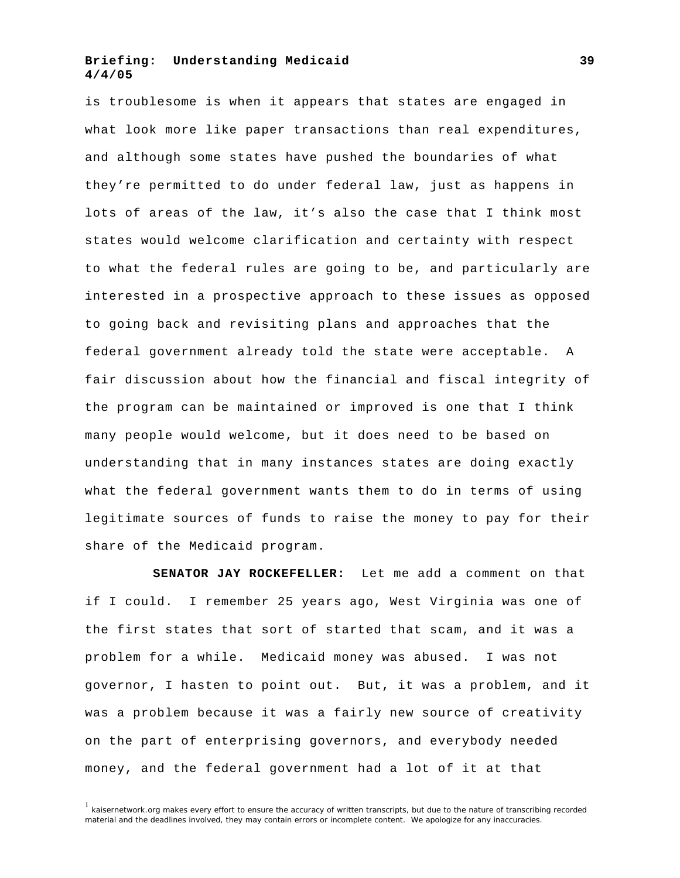is troublesome is when it appears that states are engaged in what look more like paper transactions than real expenditures, and although some states have pushed the boundaries of what they're permitted to do under federal law, just as happens in lots of areas of the law, it's also the case that I think most states would welcome clarification and certainty with respect to what the federal rules are going to be, and particularly are interested in a prospective approach to these issues as opposed to going back and revisiting plans and approaches that the federal government already told the state were acceptable. A fair discussion about how the financial and fiscal integrity of the program can be maintained or improved is one that I think many people would welcome, but it does need to be based on understanding that in many instances states are doing exactly what the federal government wants them to do in terms of using legitimate sources of funds to raise the money to pay for their share of the Medicaid program.

**SENATOR JAY ROCKEFELLER:** Let me add a comment on that if I could. I remember 25 years ago, West Virginia was one of the first states that sort of started that scam, and it was a problem for a while. Medicaid money was abused. I was not governor, I hasten to point out. But, it was a problem, and it was a problem because it was a fairly new source of creativity on the part of enterprising governors, and everybody needed money, and the federal government had a lot of it at that

<sup>&</sup>lt;sup>1</sup> kaisernetwork.org makes every effort to ensure the accuracy of written transcripts, but due to the nature of transcribing recorded material and the deadlines involved, they may contain errors or incomplete content. We apologize for any inaccuracies.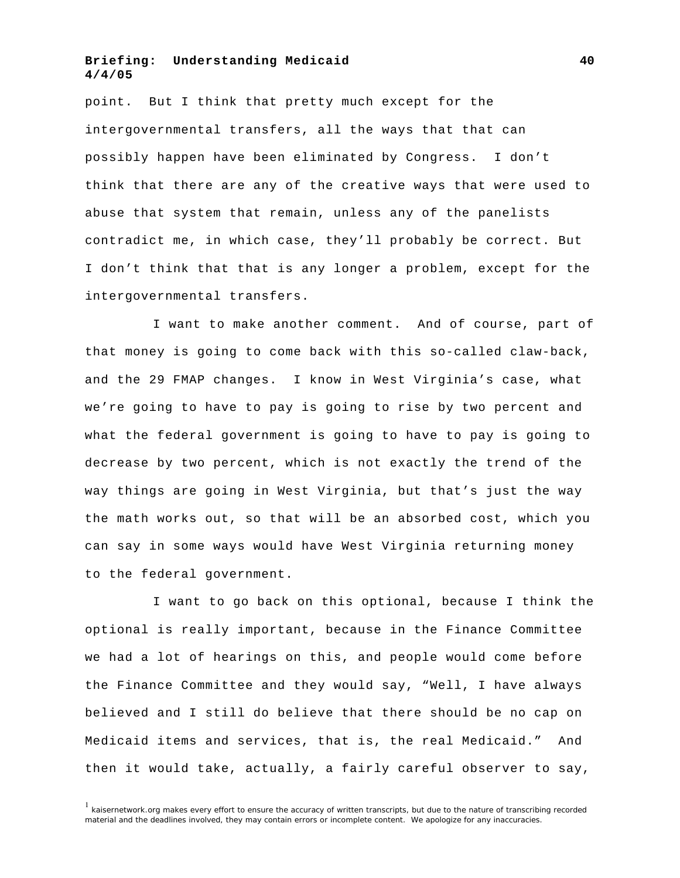point. But I think that pretty much except for the intergovernmental transfers, all the ways that that can possibly happen have been eliminated by Congress. I don't think that there are any of the creative ways that were used to abuse that system that remain, unless any of the panelists contradict me, in which case, they'll probably be correct. But I don't think that that is any longer a problem, except for the intergovernmental transfers.

I want to make another comment. And of course, part of that money is going to come back with this so-called claw-back, and the 29 FMAP changes. I know in West Virginia's case, what we're going to have to pay is going to rise by two percent and what the federal government is going to have to pay is going to decrease by two percent, which is not exactly the trend of the way things are going in West Virginia, but that's just the way the math works out, so that will be an absorbed cost, which you can say in some ways would have West Virginia returning money to the federal government.

I want to go back on this optional, because I think the optional is really important, because in the Finance Committee we had a lot of hearings on this, and people would come before the Finance Committee and they would say, "Well, I have always believed and I still do believe that there should be no cap on Medicaid items and services, that is, the real Medicaid." And then it would take, actually, a fairly careful observer to say,

 $<sup>1</sup>$  kaisernetwork.org makes every effort to ensure the accuracy of written transcripts, but due to the nature of transcribing recorded</sup> material and the deadlines involved, they may contain errors or incomplete content. We apologize for any inaccuracies.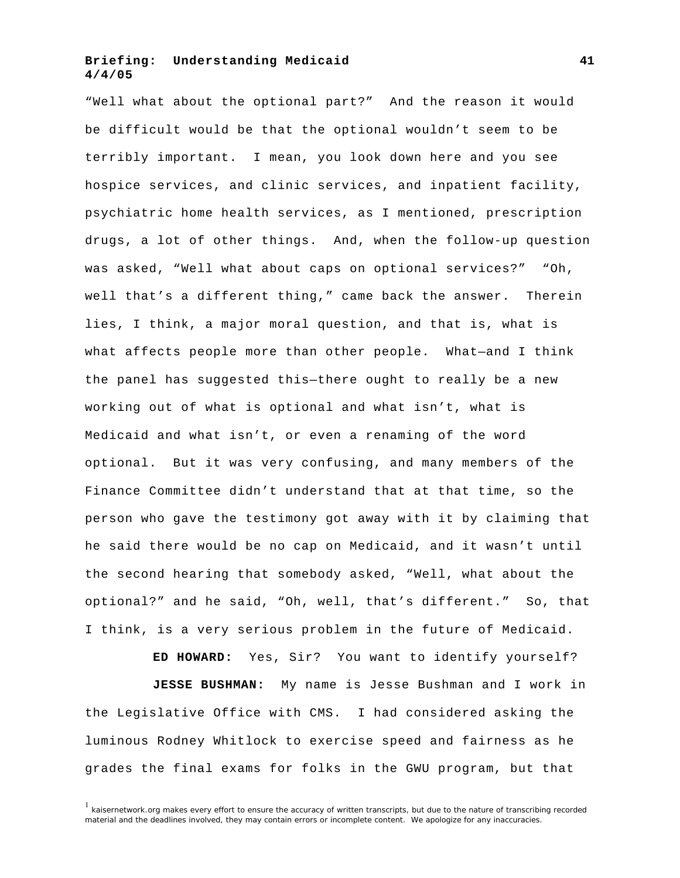"Well what about the optional part?" And the reason it would be difficult would be that the optional wouldn't seem to be terribly important. I mean, you look down here and you see hospice services, and clinic services, and inpatient facility, psychiatric home health services, as I mentioned, prescription drugs, a lot of other things. And, when the follow-up question was asked, "Well what about caps on optional services?" "Oh, well that's a different thing," came back the answer. Therein lies, I think, a major moral question, and that is, what is what affects people more than other people. What—and I think the panel has suggested this—there ought to really be a new working out of what is optional and what isn't, what is Medicaid and what isn't, or even a renaming of the word optional. But it was very confusing, and many members of the Finance Committee didn't understand that at that time, so the person who gave the testimony got away with it by claiming that he said there would be no cap on Medicaid, and it wasn't until the second hearing that somebody asked, "Well, what about the optional?" and he said, "Oh, well, that's different." So, that I think, is a very serious problem in the future of Medicaid.

**ED HOWARD:** Yes, Sir? You want to identify yourself? **JESSE BUSHMAN:** My name is Jesse Bushman and I work in the Legislative Office with CMS. I had considered asking the luminous Rodney Whitlock to exercise speed and fairness as he grades the final exams for folks in the GWU program, but that

 $<sup>1</sup>$  kaisernetwork.org makes every effort to ensure the accuracy of written transcripts, but due to the nature of transcribing recorded</sup> material and the deadlines involved, they may contain errors or incomplete content. We apologize for any inaccuracies.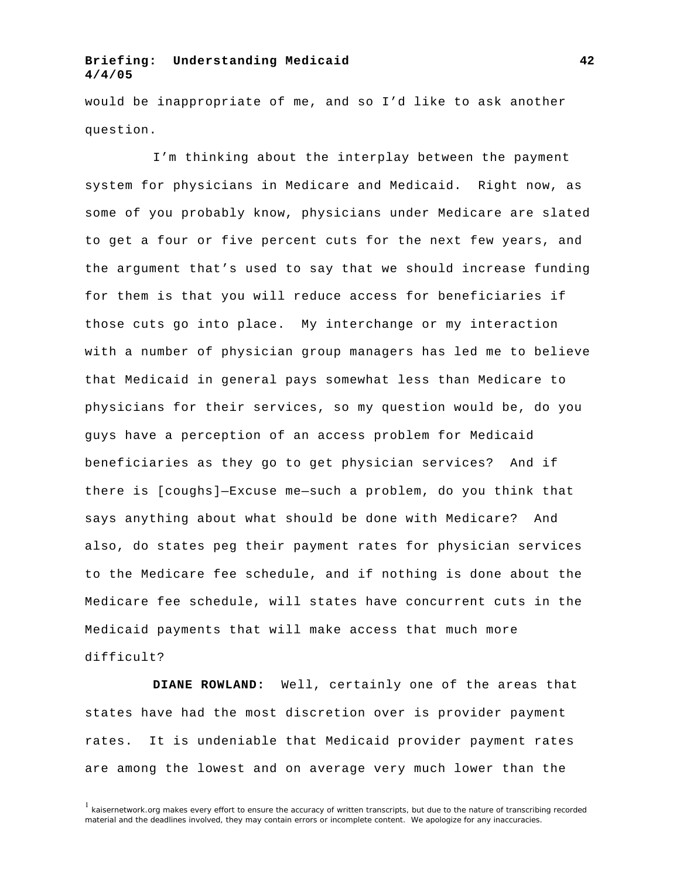would be inappropriate of me, and so I'd like to ask another question.

I'm thinking about the interplay between the payment system for physicians in Medicare and Medicaid. Right now, as some of you probably know, physicians under Medicare are slated to get a four or five percent cuts for the next few years, and the argument that's used to say that we should increase funding for them is that you will reduce access for beneficiaries if those cuts go into place. My interchange or my interaction with a number of physician group managers has led me to believe that Medicaid in general pays somewhat less than Medicare to physicians for their services, so my question would be, do you guys have a perception of an access problem for Medicaid beneficiaries as they go to get physician services? And if there is [coughs]—Excuse me—such a problem, do you think that says anything about what should be done with Medicare? And also, do states peg their payment rates for physician services to the Medicare fee schedule, and if nothing is done about the Medicare fee schedule, will states have concurrent cuts in the Medicaid payments that will make access that much more difficult?

**DIANE ROWLAND:** Well, certainly one of the areas that states have had the most discretion over is provider payment rates. It is undeniable that Medicaid provider payment rates are among the lowest and on average very much lower than the

 $1$  kaisernetwork.org makes every effort to ensure the accuracy of written transcripts, but due to the nature of transcribing recorded material and the deadlines involved, they may contain errors or incomplete content. We apologize for any inaccuracies.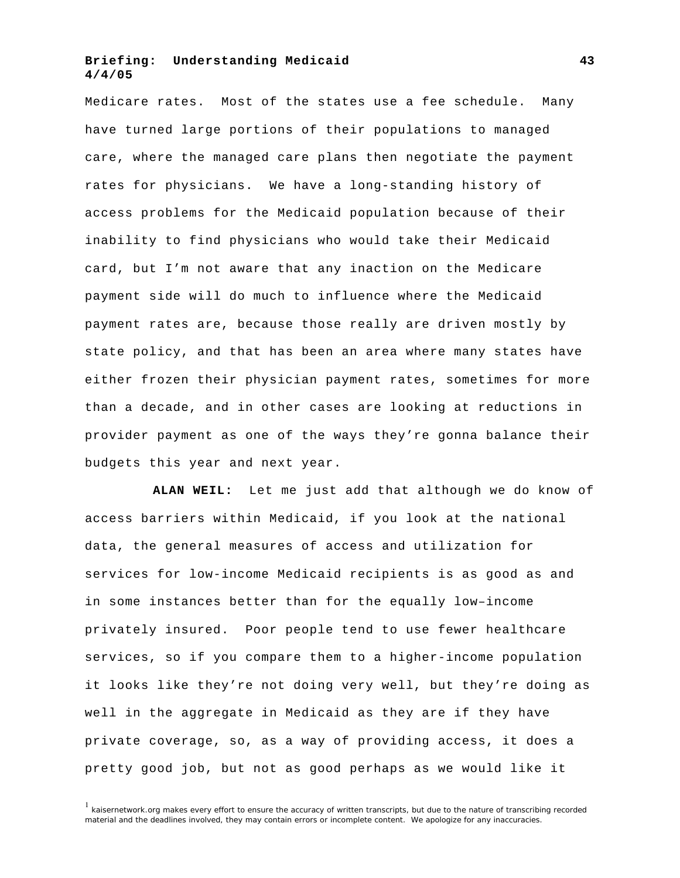Medicare rates. Most of the states use a fee schedule. Many have turned large portions of their populations to managed care, where the managed care plans then negotiate the payment rates for physicians. We have a long-standing history of access problems for the Medicaid population because of their inability to find physicians who would take their Medicaid card, but I'm not aware that any inaction on the Medicare payment side will do much to influence where the Medicaid payment rates are, because those really are driven mostly by state policy, and that has been an area where many states have either frozen their physician payment rates, sometimes for more than a decade, and in other cases are looking at reductions in provider payment as one of the ways they're gonna balance their budgets this year and next year.

**ALAN WEIL:** Let me just add that although we do know of access barriers within Medicaid, if you look at the national data, the general measures of access and utilization for services for low-income Medicaid recipients is as good as and in some instances better than for the equally low–income privately insured. Poor people tend to use fewer healthcare services, so if you compare them to a higher-income population it looks like they're not doing very well, but they're doing as well in the aggregate in Medicaid as they are if they have private coverage, so, as a way of providing access, it does a pretty good job, but not as good perhaps as we would like it

 $<sup>1</sup>$  kaisernetwork.org makes every effort to ensure the accuracy of written transcripts, but due to the nature of transcribing recorded</sup> material and the deadlines involved, they may contain errors or incomplete content. We apologize for any inaccuracies.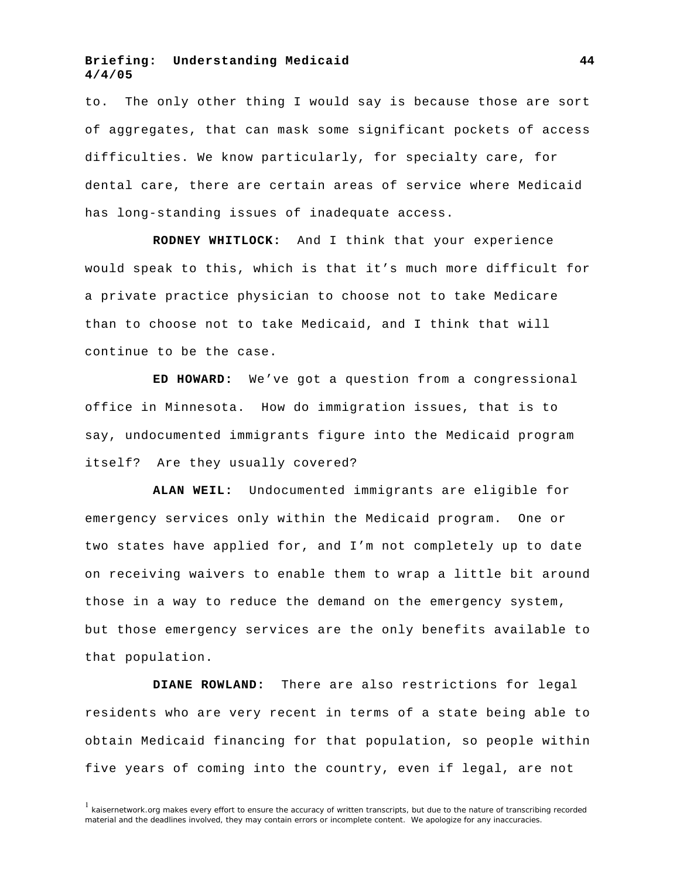to. The only other thing I would say is because those are sort of aggregates, that can mask some significant pockets of access difficulties. We know particularly, for specialty care, for dental care, there are certain areas of service where Medicaid has long-standing issues of inadequate access.

**RODNEY WHITLOCK:** And I think that your experience would speak to this, which is that it's much more difficult for a private practice physician to choose not to take Medicare than to choose not to take Medicaid, and I think that will continue to be the case.

**ED HOWARD:** We've got a question from a congressional office in Minnesota. How do immigration issues, that is to say, undocumented immigrants figure into the Medicaid program itself? Are they usually covered?

**ALAN WEIL:** Undocumented immigrants are eligible for emergency services only within the Medicaid program. One or two states have applied for, and I'm not completely up to date on receiving waivers to enable them to wrap a little bit around those in a way to reduce the demand on the emergency system, but those emergency services are the only benefits available to that population.

**DIANE ROWLAND:** There are also restrictions for legal residents who are very recent in terms of a state being able to obtain Medicaid financing for that population, so people within five years of coming into the country, even if legal, are not

 $1$  kaisernetwork.org makes every effort to ensure the accuracy of written transcripts, but due to the nature of transcribing recorded material and the deadlines involved, they may contain errors or incomplete content. We apologize for any inaccuracies.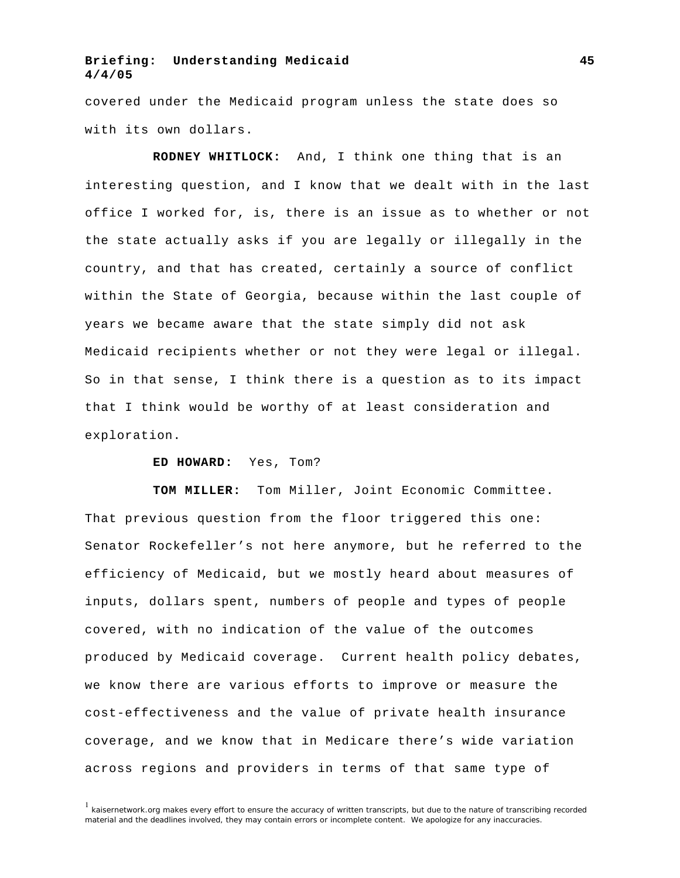covered under the Medicaid program unless the state does so with its own dollars.

**RODNEY WHITLOCK:** And, I think one thing that is an interesting question, and I know that we dealt with in the last office I worked for, is, there is an issue as to whether or not the state actually asks if you are legally or illegally in the country, and that has created, certainly a source of conflict within the State of Georgia, because within the last couple of years we became aware that the state simply did not ask Medicaid recipients whether or not they were legal or illegal. So in that sense, I think there is a question as to its impact that I think would be worthy of at least consideration and exploration.

#### **ED HOWARD:** Yes, Tom?

**TOM MILLER:** Tom Miller, Joint Economic Committee. That previous question from the floor triggered this one: Senator Rockefeller's not here anymore, but he referred to the efficiency of Medicaid, but we mostly heard about measures of inputs, dollars spent, numbers of people and types of people covered, with no indication of the value of the outcomes produced by Medicaid coverage. Current health policy debates, we know there are various efforts to improve or measure the cost-effectiveness and the value of private health insurance coverage, and we know that in Medicare there's wide variation across regions and providers in terms of that same type of

 $1$  kaisernetwork.org makes every effort to ensure the accuracy of written transcripts, but due to the nature of transcribing recorded material and the deadlines involved, they may contain errors or incomplete content. We apologize for any inaccuracies.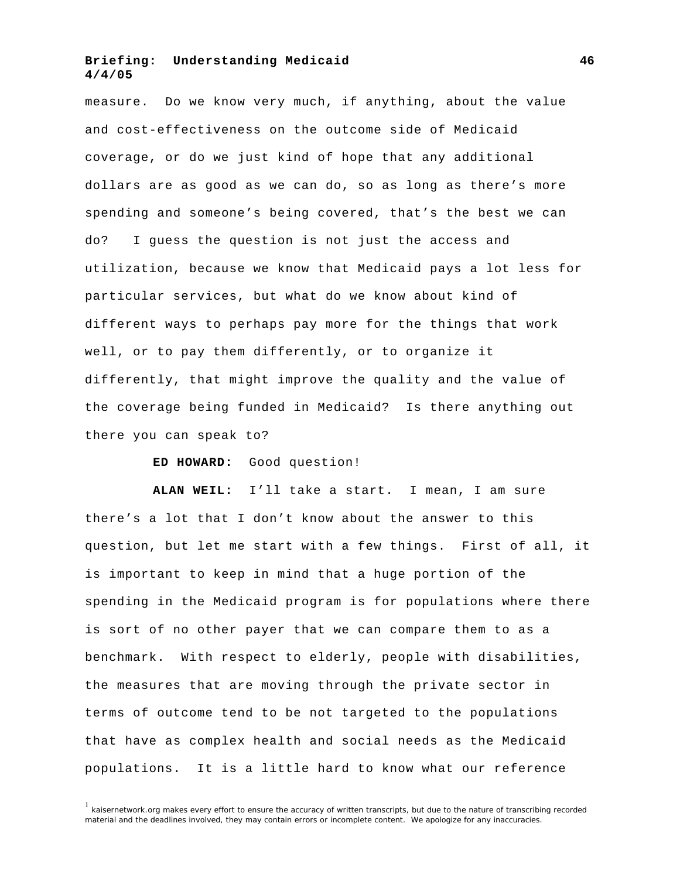measure. Do we know very much, if anything, about the value and cost-effectiveness on the outcome side of Medicaid coverage, or do we just kind of hope that any additional dollars are as good as we can do, so as long as there's more spending and someone's being covered, that's the best we can do? I guess the question is not just the access and utilization, because we know that Medicaid pays a lot less for particular services, but what do we know about kind of different ways to perhaps pay more for the things that work well, or to pay them differently, or to organize it differently, that might improve the quality and the value of the coverage being funded in Medicaid? Is there anything out there you can speak to?

**ED HOWARD:** Good question!

**ALAN WEIL:** I'll take a start. I mean, I am sure there's a lot that I don't know about the answer to this question, but let me start with a few things. First of all, it is important to keep in mind that a huge portion of the spending in the Medicaid program is for populations where there is sort of no other payer that we can compare them to as a benchmark. With respect to elderly, people with disabilities, the measures that are moving through the private sector in terms of outcome tend to be not targeted to the populations that have as complex health and social needs as the Medicaid populations. It is a little hard to know what our reference

<sup>1</sup> kaisernetwork.org makes every effort to ensure the accuracy of written transcripts, but due to the nature of transcribing recorded material and the deadlines involved, they may contain errors or incomplete content. We apologize for any inaccuracies.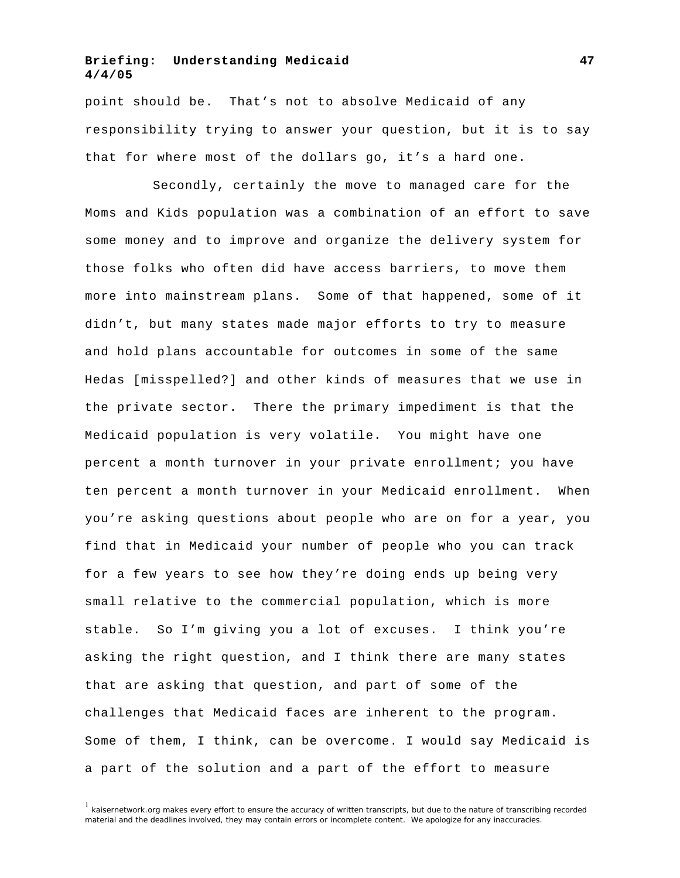point should be. That's not to absolve Medicaid of any responsibility trying to answer your question, but it is to say that for where most of the dollars go, it's a hard one.

Secondly, certainly the move to managed care for the Moms and Kids population was a combination of an effort to save some money and to improve and organize the delivery system for those folks who often did have access barriers, to move them more into mainstream plans. Some of that happened, some of it didn't, but many states made major efforts to try to measure and hold plans accountable for outcomes in some of the same Hedas [misspelled?] and other kinds of measures that we use in the private sector. There the primary impediment is that the Medicaid population is very volatile. You might have one percent a month turnover in your private enrollment; you have ten percent a month turnover in your Medicaid enrollment. When you're asking questions about people who are on for a year, you find that in Medicaid your number of people who you can track for a few years to see how they're doing ends up being very small relative to the commercial population, which is more stable. So I'm giving you a lot of excuses. I think you're asking the right question, and I think there are many states that are asking that question, and part of some of the challenges that Medicaid faces are inherent to the program. Some of them, I think, can be overcome. I would say Medicaid is a part of the solution and a part of the effort to measure

 $1$  kaisernetwork.org makes every effort to ensure the accuracy of written transcripts, but due to the nature of transcribing recorded material and the deadlines involved, they may contain errors or incomplete content. We apologize for any inaccuracies.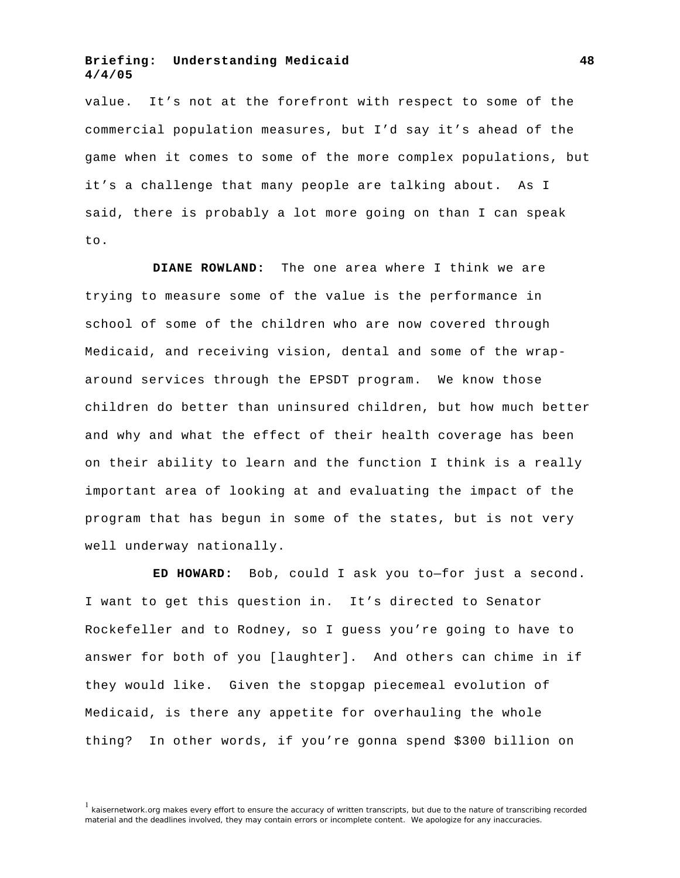value. It's not at the forefront with respect to some of the commercial population measures, but I'd say it's ahead of the game when it comes to some of the more complex populations, but it's a challenge that many people are talking about. As I said, there is probably a lot more going on than I can speak to.

**DIANE ROWLAND:** The one area where I think we are trying to measure some of the value is the performance in school of some of the children who are now covered through Medicaid, and receiving vision, dental and some of the wraparound services through the EPSDT program. We know those children do better than uninsured children, but how much better and why and what the effect of their health coverage has been on their ability to learn and the function I think is a really important area of looking at and evaluating the impact of the program that has begun in some of the states, but is not very well underway nationally.

**ED HOWARD:** Bob, could I ask you to—for just a second. I want to get this question in. It's directed to Senator Rockefeller and to Rodney, so I guess you're going to have to answer for both of you [laughter]. And others can chime in if they would like. Given the stopgap piecemeal evolution of Medicaid, is there any appetite for overhauling the whole thing? In other words, if you're gonna spend \$300 billion on

 $<sup>1</sup>$  kaisernetwork.org makes every effort to ensure the accuracy of written transcripts, but due to the nature of transcribing recorded</sup> material and the deadlines involved, they may contain errors or incomplete content. We apologize for any inaccuracies.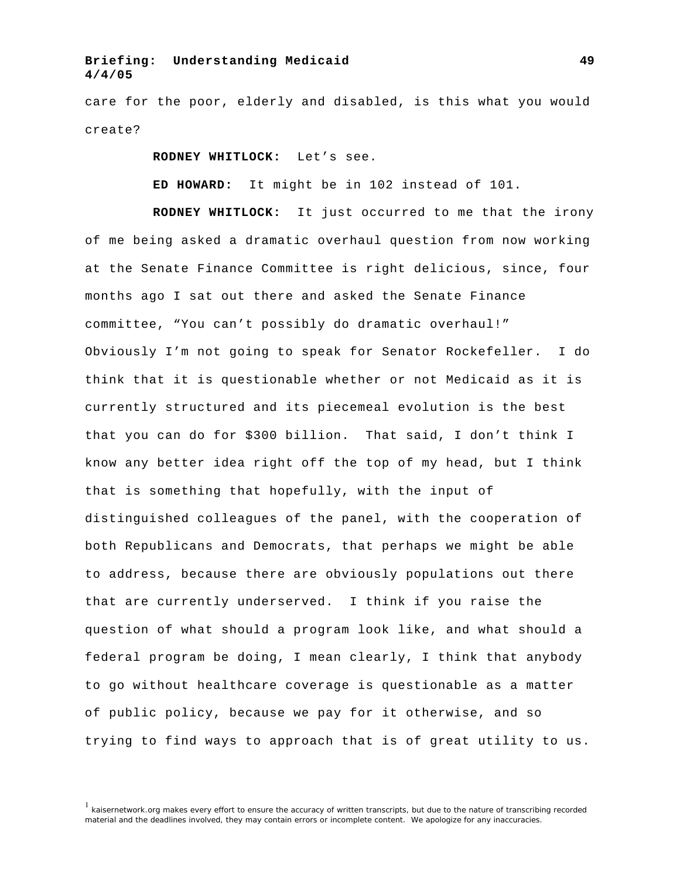care for the poor, elderly and disabled, is this what you would create?

**RODNEY WHITLOCK:** Let's see.

**ED HOWARD:** It might be in 102 instead of 101.

**RODNEY WHITLOCK:** It just occurred to me that the irony of me being asked a dramatic overhaul question from now working at the Senate Finance Committee is right delicious, since, four months ago I sat out there and asked the Senate Finance committee, "You can't possibly do dramatic overhaul!" Obviously I'm not going to speak for Senator Rockefeller. I do think that it is questionable whether or not Medicaid as it is currently structured and its piecemeal evolution is the best that you can do for \$300 billion. That said, I don't think I know any better idea right off the top of my head, but I think that is something that hopefully, with the input of distinguished colleagues of the panel, with the cooperation of both Republicans and Democrats, that perhaps we might be able to address, because there are obviously populations out there that are currently underserved. I think if you raise the question of what should a program look like, and what should a federal program be doing, I mean clearly, I think that anybody to go without healthcare coverage is questionable as a matter of public policy, because we pay for it otherwise, and so trying to find ways to approach that is of great utility to us.

<sup>&</sup>lt;sup>1</sup> kaisernetwork.org makes every effort to ensure the accuracy of written transcripts, but due to the nature of transcribing recorded material and the deadlines involved, they may contain errors or incomplete content. We apologize for any inaccuracies.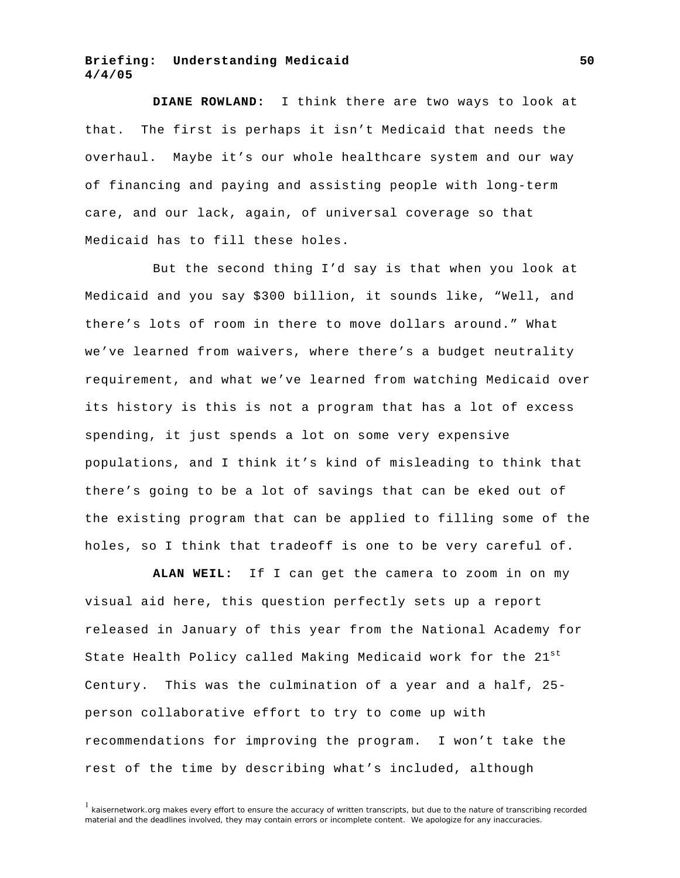**DIANE ROWLAND:** I think there are two ways to look at that. The first is perhaps it isn't Medicaid that needs the overhaul. Maybe it's our whole healthcare system and our way of financing and paying and assisting people with long-term care, and our lack, again, of universal coverage so that Medicaid has to fill these holes.

But the second thing I'd say is that when you look at Medicaid and you say \$300 billion, it sounds like, "Well, and there's lots of room in there to move dollars around." What we've learned from waivers, where there's a budget neutrality requirement, and what we've learned from watching Medicaid over its history is this is not a program that has a lot of excess spending, it just spends a lot on some very expensive populations, and I think it's kind of misleading to think that there's going to be a lot of savings that can be eked out of the existing program that can be applied to filling some of the holes, so I think that tradeoff is one to be very careful of.

**ALAN WEIL:** If I can get the camera to zoom in on my visual aid here, this question perfectly sets up a report released in January of this year from the National Academy for State Health Policy called Making Medicaid work for the 21<sup>st</sup> Century. This was the culmination of a year and a half, 25 person collaborative effort to try to come up with recommendations for improving the program. I won't take the rest of the time by describing what's included, although

 $1$  kaisernetwork.org makes every effort to ensure the accuracy of written transcripts, but due to the nature of transcribing recorded material and the deadlines involved, they may contain errors or incomplete content. We apologize for any inaccuracies.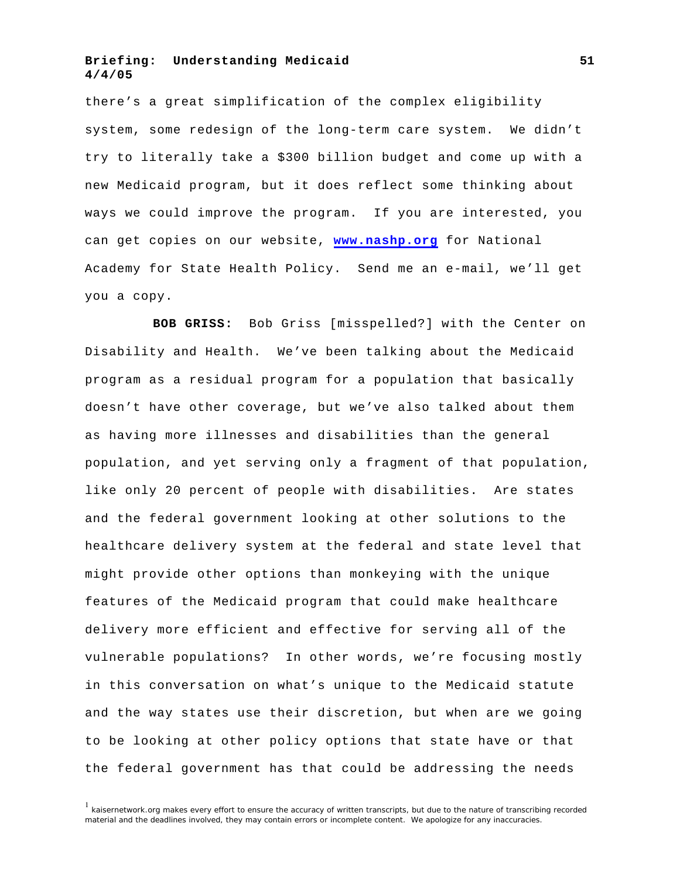there's a great simplification of the complex eligibility system, some redesign of the long-term care system. We didn't try to literally take a \$300 billion budget and come up with a new Medicaid program, but it does reflect some thinking about ways we could improve the program. If you are interested, you can get copies on our website, **[www.nashp.org](http://www.nashp.org/)** for National Academy for State Health Policy. Send me an e-mail, we'll get you a copy.

**BOB GRISS:** Bob Griss [misspelled?] with the Center on Disability and Health. We've been talking about the Medicaid program as a residual program for a population that basically doesn't have other coverage, but we've also talked about them as having more illnesses and disabilities than the general population, and yet serving only a fragment of that population, like only 20 percent of people with disabilities. Are states and the federal government looking at other solutions to the healthcare delivery system at the federal and state level that might provide other options than monkeying with the unique features of the Medicaid program that could make healthcare delivery more efficient and effective for serving all of the vulnerable populations? In other words, we're focusing mostly in this conversation on what's unique to the Medicaid statute and the way states use their discretion, but when are we going to be looking at other policy options that state have or that the federal government has that could be addressing the needs

 $1$  kaisernetwork.org makes every effort to ensure the accuracy of written transcripts, but due to the nature of transcribing recorded material and the deadlines involved, they may contain errors or incomplete content. We apologize for any inaccuracies.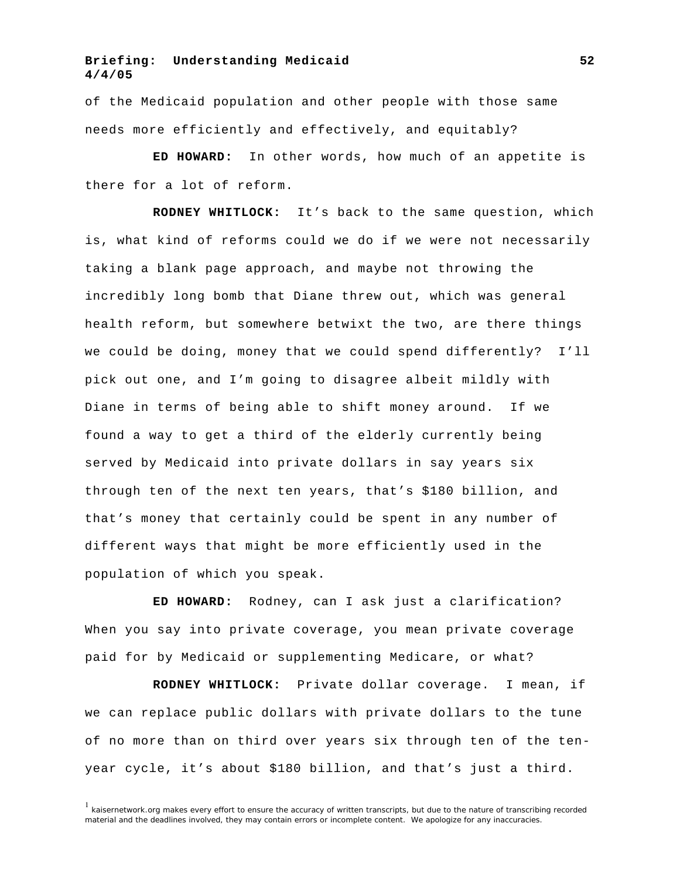of the Medicaid population and other people with those same needs more efficiently and effectively, and equitably?

**ED HOWARD:** In other words, how much of an appetite is there for a lot of reform.

**RODNEY WHITLOCK:** It's back to the same question, which is, what kind of reforms could we do if we were not necessarily taking a blank page approach, and maybe not throwing the incredibly long bomb that Diane threw out, which was general health reform, but somewhere betwixt the two, are there things we could be doing, money that we could spend differently? I'll pick out one, and I'm going to disagree albeit mildly with Diane in terms of being able to shift money around. If we found a way to get a third of the elderly currently being served by Medicaid into private dollars in say years six through ten of the next ten years, that's \$180 billion, and that's money that certainly could be spent in any number of different ways that might be more efficiently used in the population of which you speak.

**ED HOWARD:** Rodney, can I ask just a clarification? When you say into private coverage, you mean private coverage paid for by Medicaid or supplementing Medicare, or what?

**RODNEY WHITLOCK:** Private dollar coverage. I mean, if we can replace public dollars with private dollars to the tune of no more than on third over years six through ten of the tenyear cycle, it's about \$180 billion, and that's just a third.

<sup>&</sup>lt;sup>1</sup> kaisernetwork.org makes every effort to ensure the accuracy of written transcripts, but due to the nature of transcribing recorded material and the deadlines involved, they may contain errors or incomplete content. We apologize for any inaccuracies.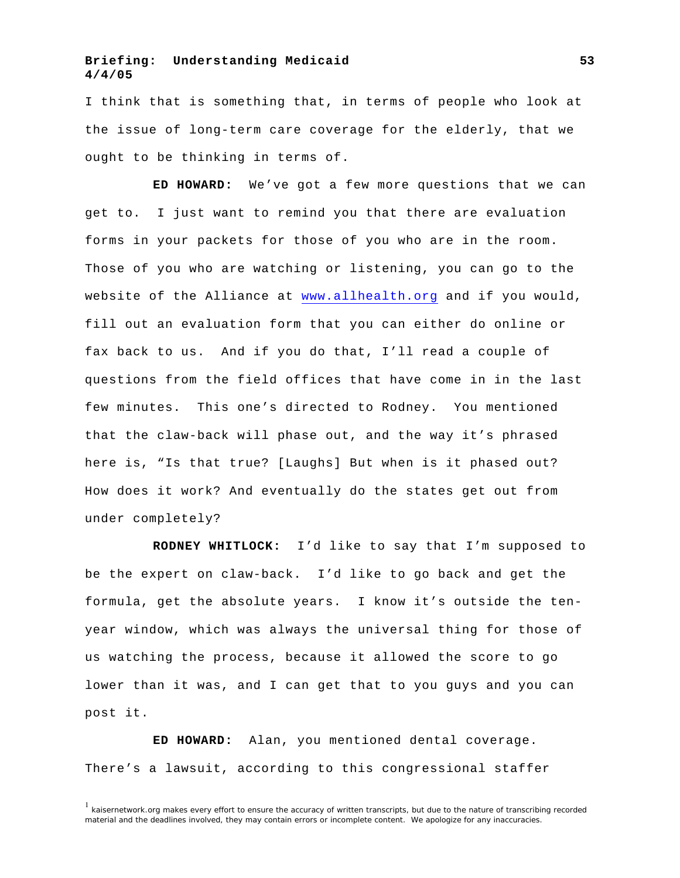I think that is something that, in terms of people who look at the issue of long-term care coverage for the elderly, that we ought to be thinking in terms of.

**ED HOWARD:** We've got a few more questions that we can get to. I just want to remind you that there are evaluation forms in your packets for those of you who are in the room. Those of you who are watching or listening, you can go to the website of the Alliance at <www.allhealth.org> and if you would, fill out an evaluation form that you can either do online or fax back to us. And if you do that, I'll read a couple of questions from the field offices that have come in in the last few minutes. This one's directed to Rodney. You mentioned that the claw-back will phase out, and the way it's phrased here is, "Is that true? [Laughs] But when is it phased out? How does it work? And eventually do the states get out from under completely?

**RODNEY WHITLOCK:** I'd like to say that I'm supposed to be the expert on claw-back. I'd like to go back and get the formula, get the absolute years. I know it's outside the tenyear window, which was always the universal thing for those of us watching the process, because it allowed the score to go lower than it was, and I can get that to you guys and you can post it.

**ED HOWARD:** Alan, you mentioned dental coverage. There's a lawsuit, according to this congressional staffer

 $<sup>1</sup>$  kaisernetwork.org makes every effort to ensure the accuracy of written transcripts, but due to the nature of transcribing recorded</sup> material and the deadlines involved, they may contain errors or incomplete content. We apologize for any inaccuracies.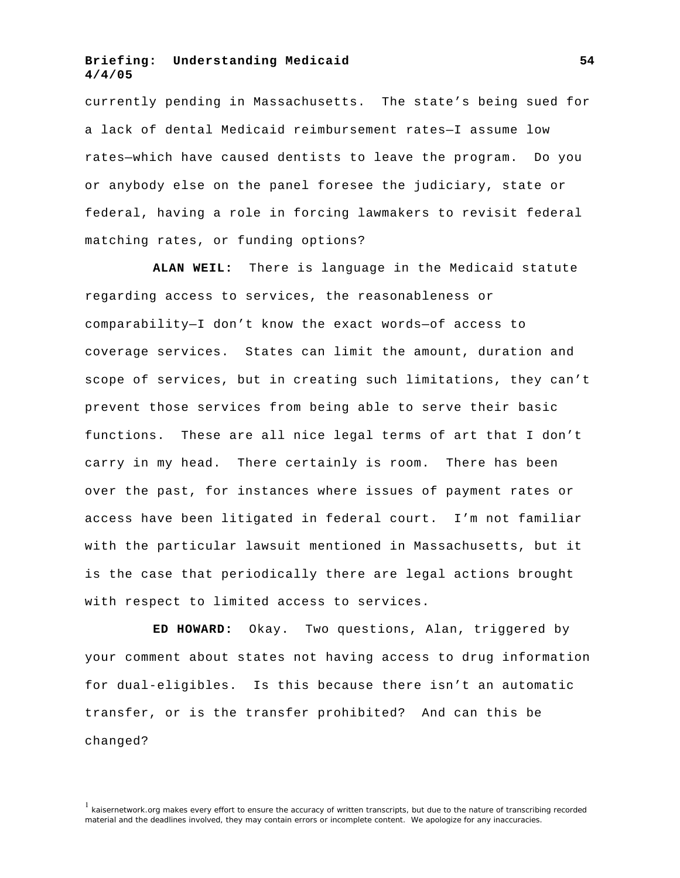currently pending in Massachusetts. The state's being sued for a lack of dental Medicaid reimbursement rates—I assume low rates—which have caused dentists to leave the program. Do you or anybody else on the panel foresee the judiciary, state or federal, having a role in forcing lawmakers to revisit federal matching rates, or funding options?

**ALAN WEIL:** There is language in the Medicaid statute regarding access to services, the reasonableness or comparability—I don't know the exact words—of access to coverage services. States can limit the amount, duration and scope of services, but in creating such limitations, they can't prevent those services from being able to serve their basic functions. These are all nice legal terms of art that I don't carry in my head. There certainly is room. There has been over the past, for instances where issues of payment rates or access have been litigated in federal court. I'm not familiar with the particular lawsuit mentioned in Massachusetts, but it is the case that periodically there are legal actions brought with respect to limited access to services.

**ED HOWARD:** Okay. Two questions, Alan, triggered by your comment about states not having access to drug information for dual-eligibles. Is this because there isn't an automatic transfer, or is the transfer prohibited? And can this be changed?

 $<sup>1</sup>$  kaisernetwork.org makes every effort to ensure the accuracy of written transcripts, but due to the nature of transcribing recorded</sup> material and the deadlines involved, they may contain errors or incomplete content. We apologize for any inaccuracies.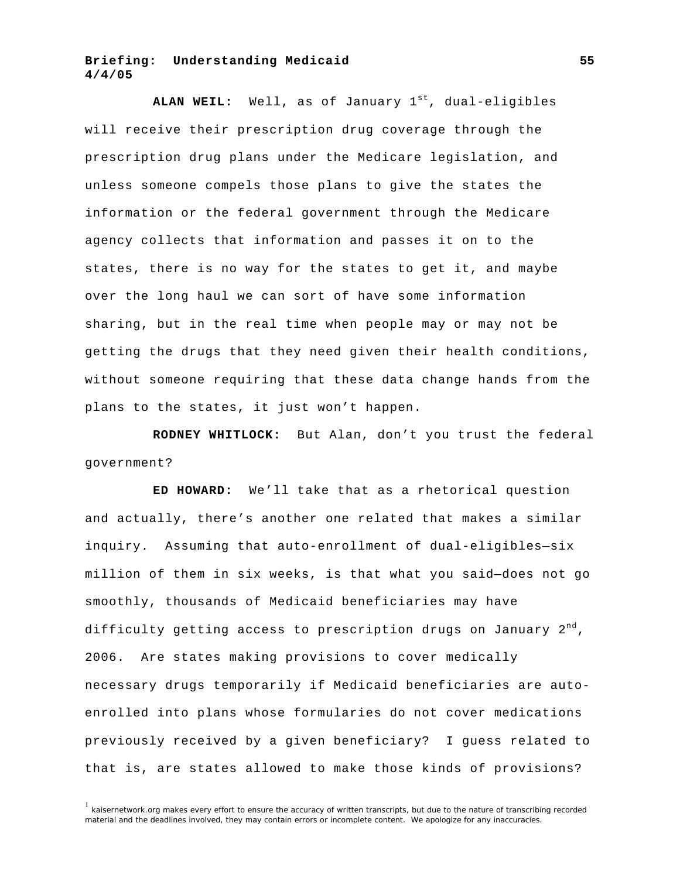ALAN WEIL: Well, as of January 1<sup>st</sup>, dual-eligibles will receive their prescription drug coverage through the prescription drug plans under the Medicare legislation, and unless someone compels those plans to give the states the information or the federal government through the Medicare agency collects that information and passes it on to the states, there is no way for the states to get it, and maybe over the long haul we can sort of have some information sharing, but in the real time when people may or may not be getting the drugs that they need given their health conditions, without someone requiring that these data change hands from the plans to the states, it just won't happen.

**RODNEY WHITLOCK:** But Alan, don't you trust the federal government?

**ED HOWARD:** We'll take that as a rhetorical question and actually, there's another one related that makes a similar inquiry. Assuming that auto-enrollment of dual-eligibles—six million of them in six weeks, is that what you said—does not go smoothly, thousands of Medicaid beneficiaries may have difficulty getting access to prescription drugs on January  $2^{nd}$ , 2006. Are states making provisions to cover medically necessary drugs temporarily if Medicaid beneficiaries are autoenrolled into plans whose formularies do not cover medications previously received by a given beneficiary? I guess related to that is, are states allowed to make those kinds of provisions?

 $1$  kaisernetwork.org makes every effort to ensure the accuracy of written transcripts, but due to the nature of transcribing recorded material and the deadlines involved, they may contain errors or incomplete content. We apologize for any inaccuracies.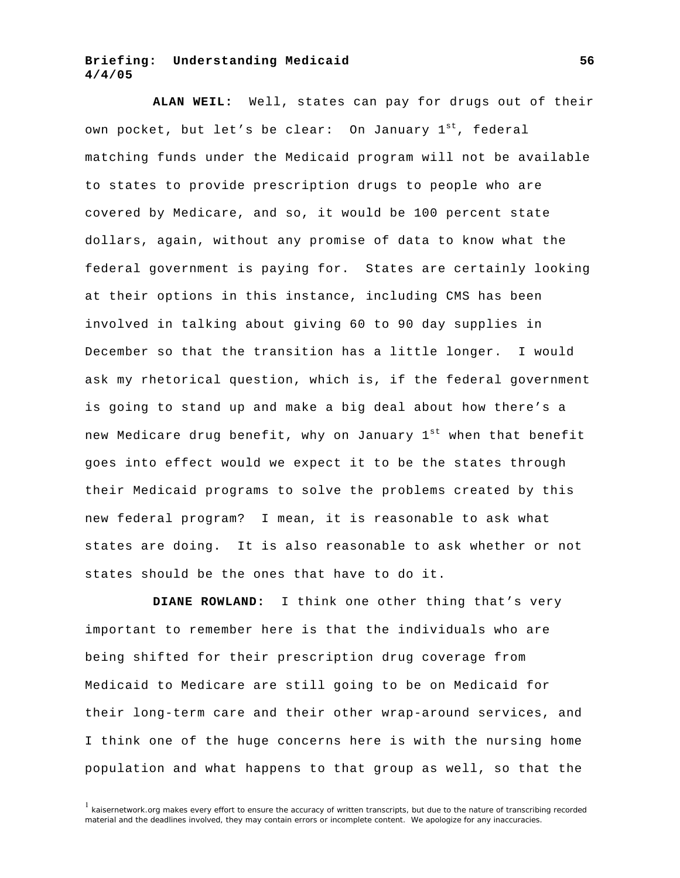**ALAN WEIL:** Well, states can pay for drugs out of their own pocket, but let's be clear: On January  $1^{st}$ , federal matching funds under the Medicaid program will not be available to states to provide prescription drugs to people who are covered by Medicare, and so, it would be 100 percent state dollars, again, without any promise of data to know what the federal government is paying for. States are certainly looking at their options in this instance, including CMS has been involved in talking about giving 60 to 90 day supplies in December so that the transition has a little longer. I would ask my rhetorical question, which is, if the federal government is going to stand up and make a big deal about how there's a new Medicare drug benefit, why on January 1<sup>st</sup> when that benefit goes into effect would we expect it to be the states through their Medicaid programs to solve the problems created by this new federal program? I mean, it is reasonable to ask what states are doing. It is also reasonable to ask whether or not states should be the ones that have to do it.

**DIANE ROWLAND:** I think one other thing that's very important to remember here is that the individuals who are being shifted for their prescription drug coverage from Medicaid to Medicare are still going to be on Medicaid for their long-term care and their other wrap-around services, and I think one of the huge concerns here is with the nursing home population and what happens to that group as well, so that the

 $1$  kaisernetwork.org makes every effort to ensure the accuracy of written transcripts, but due to the nature of transcribing recorded material and the deadlines involved, they may contain errors or incomplete content. We apologize for any inaccuracies.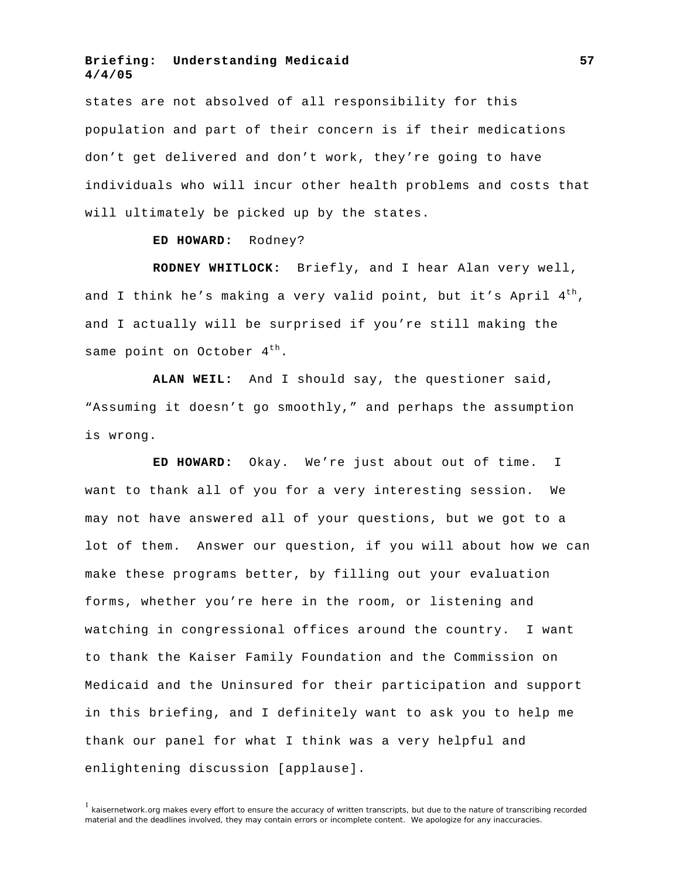states are not absolved of all responsibility for this population and part of their concern is if their medications don't get delivered and don't work, they're going to have individuals who will incur other health problems and costs that will ultimately be picked up by the states.

#### **ED HOWARD:** Rodney?

**RODNEY WHITLOCK:** Briefly, and I hear Alan very well, and I think he's making a very valid point, but it's April  $4<sup>th</sup>$ , and I actually will be surprised if you're still making the same point on October  $4<sup>th</sup>$ .

**ALAN WEIL:** And I should say, the questioner said, "Assuming it doesn't go smoothly," and perhaps the assumption is wrong.

**ED HOWARD:** Okay. We're just about out of time. I want to thank all of you for a very interesting session. We may not have answered all of your questions, but we got to a lot of them. Answer our question, if you will about how we can make these programs better, by filling out your evaluation forms, whether you're here in the room, or listening and watching in congressional offices around the country. I want to thank the Kaiser Family Foundation and the Commission on Medicaid and the Uninsured for their participation and support in this briefing, and I definitely want to ask you to help me thank our panel for what I think was a very helpful and enlightening discussion [applause].

 $<sup>1</sup>$  kaisernetwork.org makes every effort to ensure the accuracy of written transcripts, but due to the nature of transcribing recorded</sup> material and the deadlines involved, they may contain errors or incomplete content. We apologize for any inaccuracies.